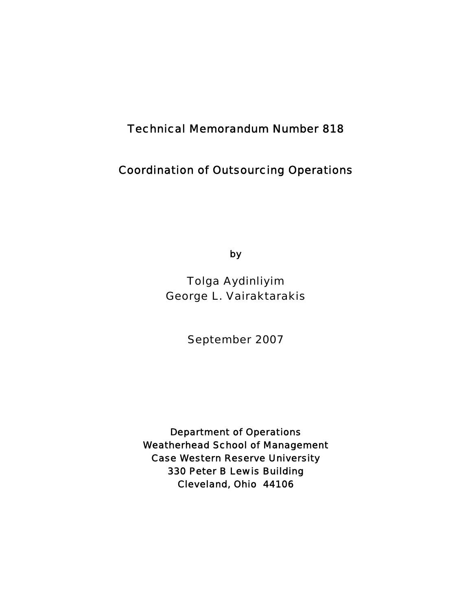# Technical Memorandum Number 818

# Coordination of Outsourcing Operations

by

Tolga Aydinliyim George L. Vairaktarakis

September 2007

Department of Operations Weatherhead School of Management Case Western Reserve University 330 Peter B Lewis Building Cleveland, Ohio 44106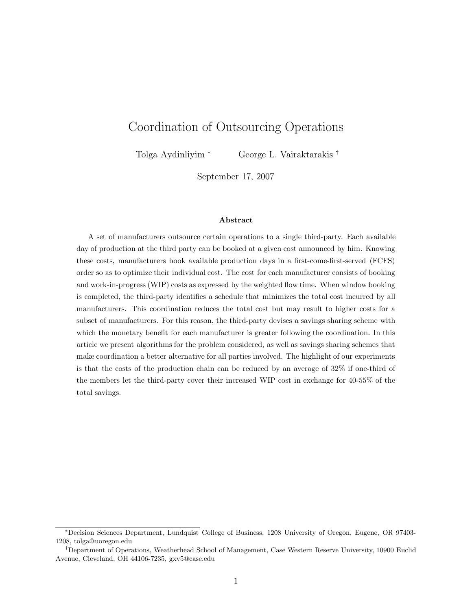# Coordination of Outsourcing Operations

Tolga Aydinliyim <sup>∗</sup> George L. Vairaktarakis †

September 17, 2007

### **Abstract**

A set of manufacturers outsource certain operations to a single third-party. Each available day of production at the third party can be booked at a given cost announced by him. Knowing these costs, manufacturers book available production days in a first-come-first-served (FCFS) order so as to optimize their individual cost. The cost for each manufacturer consists of booking and work-in-progress (WIP) costs as expressed by the weighted flow time. When window booking is completed, the third-party identifies a schedule that minimizes the total cost incurred by all manufacturers. This coordination reduces the total cost but may result to higher costs for a subset of manufacturers. For this reason, the third-party devises a savings sharing scheme with which the monetary benefit for each manufacturer is greater following the coordination. In this article we present algorithms for the problem considered, as well as savings sharing schemes that make coordination a better alternative for all parties involved. The highlight of our experiments is that the costs of the production chain can be reduced by an average of 32% if one-third of the members let the third-party cover their increased WIP cost in exchange for 40-55% of the total savings.

<sup>∗</sup>Decision Sciences Department, Lundquist College of Business, 1208 University of Oregon, Eugene, OR 97403- 1208, tolga@uoregon.edu

<sup>†</sup>Department of Operations, Weatherhead School of Management, Case Western Reserve University, 10900 Euclid Avenue, Cleveland, OH 44106-7235, gxv5@case.edu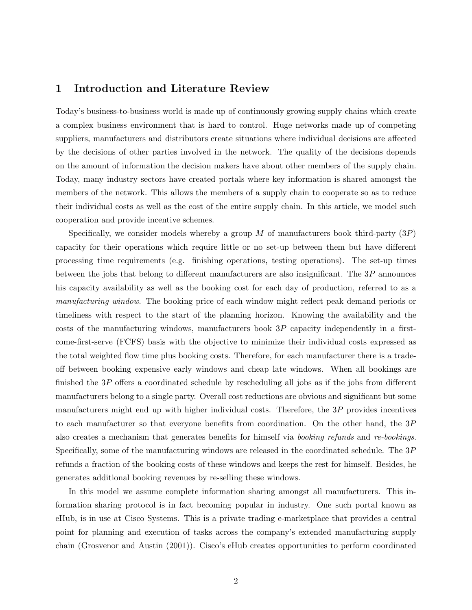# **1 Introduction and Literature Review**

Today's business-to-business world is made up of continuously growing supply chains which create a complex business environment that is hard to control. Huge networks made up of competing suppliers, manufacturers and distributors create situations where individual decisions are affected by the decisions of other parties involved in the network. The quality of the decisions depends on the amount of information the decision makers have about other members of the supply chain. Today, many industry sectors have created portals where key information is shared amongst the members of the network. This allows the members of a supply chain to cooperate so as to reduce their individual costs as well as the cost of the entire supply chain. In this article, we model such cooperation and provide incentive schemes.

Specifically, we consider models whereby a group M of manufacturers book third-party  $(3P)$ capacity for their operations which require little or no set-up between them but have different processing time requirements (e.g. finishing operations, testing operations). The set-up times between the jobs that belong to different manufacturers are also insignificant. The  $3P$  announces his capacity availability as well as the booking cost for each day of production, referred to as a *manufacturing window*. The booking price of each window might reflect peak demand periods or timeliness with respect to the start of the planning horizon. Knowing the availability and the costs of the manufacturing windows, manufacturers book  $3P$  capacity independently in a firstcome-first-serve (FCFS) basis with the objective to minimize their individual costs expressed as the total weighted flow time plus booking costs. Therefore, for each manufacturer there is a tradeoff between booking expensive early windows and cheap late windows. When all bookings are finished the 3P offers a coordinated schedule by rescheduling all jobs as if the jobs from different manufacturers belong to a single party. Overall cost reductions are obvious and significant but some manufacturers might end up with higher individual costs. Therefore, the  $3P$  provides incentives to each manufacturer so that everyone benefits from coordination. On the other hand, the 3P also creates a mechanism that generates benefits for himself via *booking refunds* and *re-bookings*. Specifically, some of the manufacturing windows are released in the coordinated schedule. The 3P refunds a fraction of the booking costs of these windows and keeps the rest for himself. Besides, he generates additional booking revenues by re-selling these windows.

In this model we assume complete information sharing amongst all manufacturers. This information sharing protocol is in fact becoming popular in industry. One such portal known as eHub, is in use at Cisco Systems. This is a private trading e-marketplace that provides a central point for planning and execution of tasks across the company's extended manufacturing supply chain (Grosvenor and Austin (2001)). Cisco's eHub creates opportunities to perform coordinated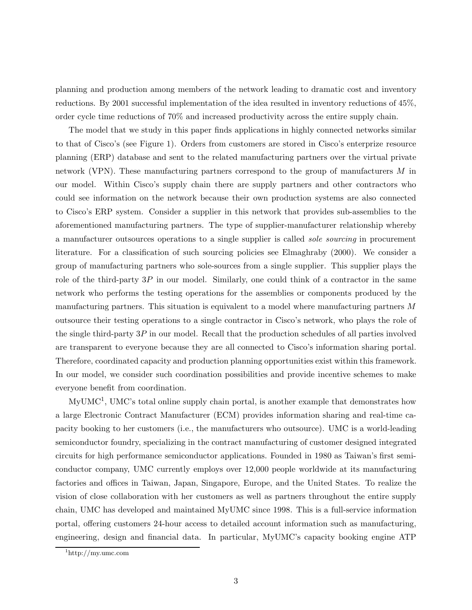planning and production among members of the network leading to dramatic cost and inventory reductions. By 2001 successful implementation of the idea resulted in inventory reductions of 45%, order cycle time reductions of 70% and increased productivity across the entire supply chain.

The model that we study in this paper finds applications in highly connected networks similar to that of Cisco's (see Figure 1). Orders from customers are stored in Cisco's enterprize resource planning (ERP) database and sent to the related manufacturing partners over the virtual private network (VPN). These manufacturing partners correspond to the group of manufacturers M in our model. Within Cisco's supply chain there are supply partners and other contractors who could see information on the network because their own production systems are also connected to Cisco's ERP system. Consider a supplier in this network that provides sub-assemblies to the aforementioned manufacturing partners. The type of supplier-manufacturer relationship whereby a manufacturer outsources operations to a single supplier is called *sole sourcing* in procurement literature. For a classification of such sourcing policies see Elmaghraby (2000). We consider a group of manufacturing partners who sole-sources from a single supplier. This supplier plays the role of the third-party 3P in our model. Similarly, one could think of a contractor in the same network who performs the testing operations for the assemblies or components produced by the manufacturing partners. This situation is equivalent to a model where manufacturing partners M outsource their testing operations to a single contractor in Cisco's network, who plays the role of the single third-party 3P in our model. Recall that the production schedules of all parties involved are transparent to everyone because they are all connected to Cisco's information sharing portal. Therefore, coordinated capacity and production planning opportunities exist within this framework. In our model, we consider such coordination possibilities and provide incentive schemes to make everyone benefit from coordination.

MyUMC1, UMC's total online supply chain portal, is another example that demonstrates how a large Electronic Contract Manufacturer (ECM) provides information sharing and real-time capacity booking to her customers (i.e., the manufacturers who outsource). UMC is a world-leading semiconductor foundry, specializing in the contract manufacturing of customer designed integrated circuits for high performance semiconductor applications. Founded in 1980 as Taiwan's first semiconductor company, UMC currently employs over 12,000 people worldwide at its manufacturing factories and offices in Taiwan, Japan, Singapore, Europe, and the United States. To realize the vision of close collaboration with her customers as well as partners throughout the entire supply chain, UMC has developed and maintained MyUMC since 1998. This is a full-service information portal, offering customers 24-hour access to detailed account information such as manufacturing, engineering, design and financial data. In particular, MyUMC's capacity booking engine ATP

 $\frac{1 \text{http://my.ume.com}}{}$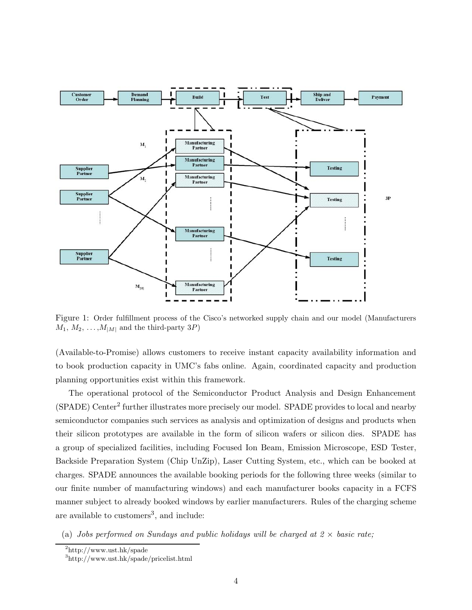

Figure 1: Order fulfillment process of the Cisco's networked supply chain and our model (Manufacturers  $M_1, M_2, \ldots, M_{|M|}$  and the third-party 3P)

(Available-to-Promise) allows customers to receive instant capacity availability information and to book production capacity in UMC's fabs online. Again, coordinated capacity and production planning opportunities exist within this framework.

The operational protocol of the Semiconductor Product Analysis and Design Enhancement (SPADE) Center<sup>2</sup> further illustrates more precisely our model. SPADE provides to local and nearby semiconductor companies such services as analysis and optimization of designs and products when their silicon prototypes are available in the form of silicon wafers or silicon dies. SPADE has a group of specialized facilities, including Focused Ion Beam, Emission Microscope, ESD Tester, Backside Preparation System (Chip UnZip), Laser Cutting System, etc., which can be booked at charges. SPADE announces the available booking periods for the following three weeks (similar to our finite number of manufacturing windows) and each manufacturer books capacity in a FCFS manner subject to already booked windows by earlier manufacturers. Rules of the charging scheme are available to customers<sup>3</sup>, and include:

(a) *Jobs performed on Sundays and public holidays will be charged at*  $2 \times$  *basic rate;* 

<sup>2</sup>http://www.ust.hk/spade

<sup>3</sup>http://www.ust.hk/spade/pricelist.html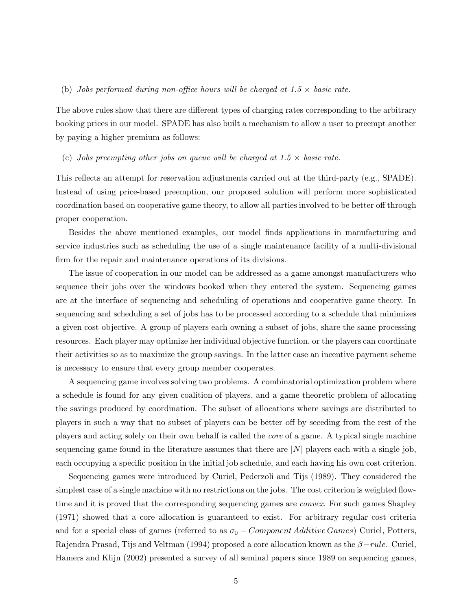## (b) *Jobs performed during non-office hours will be charged at*  $1.5 \times$  *basic rate.*

The above rules show that there are different types of charging rates corresponding to the arbitrary booking prices in our model. SPADE has also built a mechanism to allow a user to preempt another by paying a higher premium as follows:

### (c) *Jobs preempting other jobs on queue will be charged at*  $1.5 \times$  *basic rate.*

This reflects an attempt for reservation adjustments carried out at the third-party (e.g., SPADE). Instead of using price-based preemption, our proposed solution will perform more sophisticated coordination based on cooperative game theory, to allow all parties involved to be better off through proper cooperation.

Besides the above mentioned examples, our model finds applications in manufacturing and service industries such as scheduling the use of a single maintenance facility of a multi-divisional firm for the repair and maintenance operations of its divisions.

The issue of cooperation in our model can be addressed as a game amongst manufacturers who sequence their jobs over the windows booked when they entered the system. Sequencing games are at the interface of sequencing and scheduling of operations and cooperative game theory. In sequencing and scheduling a set of jobs has to be processed according to a schedule that minimizes a given cost objective. A group of players each owning a subset of jobs, share the same processing resources. Each player may optimize her individual objective function, or the players can coordinate their activities so as to maximize the group savings. In the latter case an incentive payment scheme is necessary to ensure that every group member cooperates.

A sequencing game involves solving two problems. A combinatorial optimization problem where a schedule is found for any given coalition of players, and a game theoretic problem of allocating the savings produced by coordination. The subset of allocations where savings are distributed to players in such a way that no subset of players can be better off by seceding from the rest of the players and acting solely on their own behalf is called the *core* of a game. A typical single machine sequencing game found in the literature assumes that there are  $|N|$  players each with a single job, each occupying a specific position in the initial job schedule, and each having his own cost criterion.

Sequencing games were introduced by Curiel, Pederzoli and Tijs (1989). They considered the simplest case of a single machine with no restrictions on the jobs. The cost criterion is weighted flowtime and it is proved that the corresponding sequencing games are *convex*. For such games Shapley (1971) showed that a core allocation is guaranteed to exist. For arbitrary regular cost criteria and for a special class of games (referred to as  $\sigma_0$  – Component Additive Games) Curiel, Potters, Rajendra Prasad, Tijs and Veltman (1994) proposed a core allocation known as the  $\beta$ −rule. Curiel, Hamers and Klijn (2002) presented a survey of all seminal papers since 1989 on sequencing games,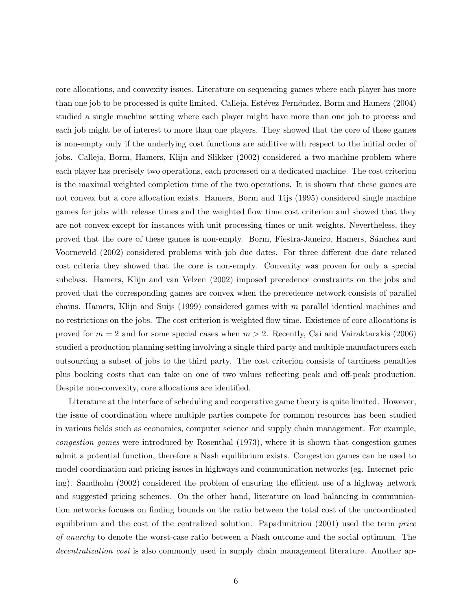core allocations, and convexity issues. Literature on sequencing games where each player has more than one job to be processed is quite limited. Calleja, Estévez-Fernández, Borm and Hamers (2004) studied a single machine setting where each player might have more than one job to process and each job might be of interest to more than one players. They showed that the core of these games is non-empty only if the underlying cost functions are additive with respect to the initial order of jobs. Calleja, Borm, Hamers, Klijn and Slikker (2002) considered a two-machine problem where each player has precisely two operations, each processed on a dedicated machine. The cost criterion is the maximal weighted completion time of the two operations. It is shown that these games are not convex but a core allocation exists. Hamers, Borm and Tijs (1995) considered single machine games for jobs with release times and the weighted flow time cost criterion and showed that they are not convex except for instances with unit processing times or unit weights. Nevertheless, they proved that the core of these games is non-empty. Borm, Fiestra-Janeiro, Hamers, S´anchez and Voorneveld (2002) considered problems with job due dates. For three different due date related cost criteria they showed that the core is non-empty. Convexity was proven for only a special subclass. Hamers, Klijn and van Velzen (2002) imposed precedence constraints on the jobs and proved that the corresponding games are convex when the precedence network consists of parallel chains. Hamers, Klijn and Suijs (1999) considered games with m parallel identical machines and no restrictions on the jobs. The cost criterion is weighted flow time. Existence of core allocations is proved for  $m = 2$  and for some special cases when  $m > 2$ . Recently, Cai and Vairaktarakis (2006) studied a production planning setting involving a single third party and multiple manufacturers each outsourcing a subset of jobs to the third party. The cost criterion consists of tardiness penalties plus booking costs that can take on one of two values reflecting peak and off-peak production. Despite non-convexity, core allocations are identified.

Literature at the interface of scheduling and cooperative game theory is quite limited. However, the issue of coordination where multiple parties compete for common resources has been studied in various fields such as economics, computer science and supply chain management. For example, *congestion games* were introduced by Rosenthal (1973), where it is shown that congestion games admit a potential function, therefore a Nash equilibrium exists. Congestion games can be used to model coordination and pricing issues in highways and communication networks (eg. Internet pricing). Sandholm (2002) considered the problem of ensuring the efficient use of a highway network and suggested pricing schemes. On the other hand, literature on load balancing in communication networks focuses on finding bounds on the ratio between the total cost of the uncoordinated equilibrium and the cost of the centralized solution. Papadimitriou (2001) used the term *price of anarchy* to denote the worst-case ratio between a Nash outcome and the social optimum. The *decentralization cost* is also commonly used in supply chain management literature. Another ap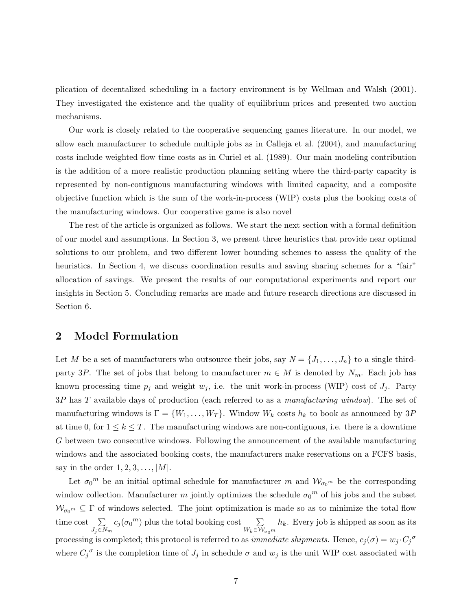plication of decentalized scheduling in a factory environment is by Wellman and Walsh (2001). They investigated the existence and the quality of equilibrium prices and presented two auction mechanisms.

Our work is closely related to the cooperative sequencing games literature. In our model, we allow each manufacturer to schedule multiple jobs as in Calleja et al. (2004), and manufacturing costs include weighted flow time costs as in Curiel et al. (1989). Our main modeling contribution is the addition of a more realistic production planning setting where the third-party capacity is represented by non-contiguous manufacturing windows with limited capacity, and a composite objective function which is the sum of the work-in-process (WIP) costs plus the booking costs of the manufacturing windows. Our cooperative game is also novel

The rest of the article is organized as follows. We start the next section with a formal definition of our model and assumptions. In Section 3, we present three heuristics that provide near optimal solutions to our problem, and two different lower bounding schemes to assess the quality of the heuristics. In Section 4, we discuss coordination results and saving sharing schemes for a "fair" allocation of savings. We present the results of our computational experiments and report our insights in Section 5. Concluding remarks are made and future research directions are discussed in Section 6.

# **2 Model Formulation**

Let M be a set of manufacturers who outsource their jobs, say  $N = \{J_1, \ldots, J_n\}$  to a single thirdparty 3P. The set of jobs that belong to manufacturer  $m \in M$  is denoted by  $N_m$ . Each job has known processing time  $p_j$  and weight  $w_j$ , i.e. the unit work-in-process (WIP) cost of  $J_j$ . Party 3P has T available days of production (each referred to as a *manufacturing window*). The set of manufacturing windows is  $\Gamma = \{W_1, \ldots, W_T\}$ . Window  $W_k$  costs  $h_k$  to book as announced by 3P at time 0, for  $1 \leq k \leq T$ . The manufacturing windows are non-contiguous, i.e. there is a downtime G between two consecutive windows. Following the announcement of the available manufacturing windows and the associated booking costs, the manufacturers make reservations on a FCFS basis, say in the order  $1, 2, 3, \ldots, |M|$ .

Let  $\sigma_0^m$  be an initial optimal schedule for manufacturer m and  $\mathcal{W}_{\sigma_0^m}$  be the corresponding window collection. Manufacturer m jointly optimizes the schedule  $\sigma_0^m$  of his jobs and the subset  $\mathcal{W}_{\sigma_0^m} \subseteq \Gamma$  of windows selected. The joint optimization is made so as to minimize the total flow time cost  $\sum$  $\sum_{J_j \in N_m} c_j(\sigma_0^m)$  plus the total booking cost  $\sum_{W_k \in \mathcal{W}_m}$  $W_k \in \overline{\mathcal{W}}_{\sigma_0^m}$  $h_k$ . Every job is shipped as soon as its processing is completed; this protocol is referred to as *immediate shipments*. Hence,  $c_j(\sigma) = w_j \cdot C_j^{\sigma}$ where  $C_i^{\sigma}$  is the completion time of  $J_i$  in schedule  $\sigma$  and  $w_i$  is the unit WIP cost associated with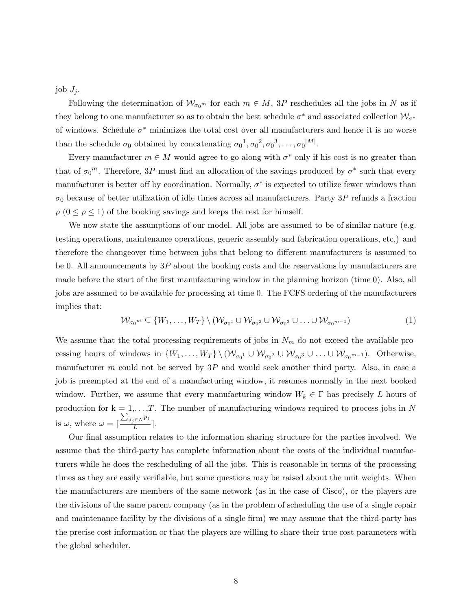job  $J_i$ .

Following the determination of  $\mathcal{W}_{\sigma_0^m}$  for each  $m \in M$ , 3P reschedules all the jobs in N as if they belong to one manufacturer so as to obtain the best schedule  $\sigma^*$  and associated collection  $\mathcal{W}_{\sigma^*}$ of windows. Schedule  $\sigma^*$  minimizes the total cost over all manufacturers and hence it is no worse than the schedule  $\sigma_0$  obtained by concatenating  $\sigma_0^1, \sigma_0^2, \sigma_0^3, \ldots, \sigma_0^{|M|}$ .

Every manufacturer  $m \in M$  would agree to go along with  $\sigma^*$  only if his cost is no greater than that of  $\sigma_0^m$ . Therefore, 3P must find an allocation of the savings produced by  $\sigma^*$  such that every manufacturer is better off by coordination. Normally,  $\sigma^*$  is expected to utilize fewer windows than  $\sigma_0$  because of better utilization of idle times across all manufacturers. Party 3P refunds a fraction  $\rho$  ( $0 \leq \rho \leq 1$ ) of the booking savings and keeps the rest for himself.

We now state the assumptions of our model. All jobs are assumed to be of similar nature (e.g. testing operations, maintenance operations, generic assembly and fabrication operations, etc.) and therefore the changeover time between jobs that belong to different manufacturers is assumed to be 0. All announcements by 3P about the booking costs and the reservations by manufacturers are made before the start of the first manufacturing window in the planning horizon (time 0). Also, all jobs are assumed to be available for processing at time 0. The FCFS ordering of the manufacturers implies that:

$$
\mathcal{W}_{\sigma_0{}^m} \subseteq \{W_1,\ldots,W_T\} \setminus (\mathcal{W}_{\sigma_0{}^1} \cup \mathcal{W}_{\sigma_0{}^2} \cup \mathcal{W}_{\sigma_0{}^3} \cup \ldots \cup \mathcal{W}_{\sigma_0{}^{m-1}})
$$
\n(1)

We assume that the total processing requirements of jobs in  $N_m$  do not exceed the available processing hours of windows in  $\{W_1,\ldots,W_T\} \setminus (\mathcal{W}_{\sigma_0} \cup \mathcal{W}_{\sigma_0} \cup \ldots \cup \mathcal{W}_{\sigma_0} \cup \ldots \cup \mathcal{W}_{\sigma_0} \cup \ldots \cup \mathcal{W}_{\sigma_0} \cup \ldots \cup \mathcal{W}_{\sigma_0} \cup \ldots \cup \mathcal{W}_{\sigma_0} \cup \ldots \cup \mathcal{W}_{\sigma_0} \cup \ldots \cup \mathcal{W}_{\sigma_0} \cup \ldots \cup \mathcal{W}_{\sigma_0} \cup \ldots \cup \math$ manufacturer  $m$  could not be served by  $3P$  and would seek another third party. Also, in case a job is preempted at the end of a manufacturing window, it resumes normally in the next booked window. Further, we assume that every manufacturing window  $W_k \in \Gamma$  has precisely L hours of production for  $k = 1, \ldots, T$ . The number of manufacturing windows required to process jobs in N is  $\omega$ , where  $\omega = \lceil$  $\frac{\sum_{J_j \in N} p_j}{L}$ .

Our final assumption relates to the information sharing structure for the parties involved. We assume that the third-party has complete information about the costs of the individual manufacturers while he does the rescheduling of all the jobs. This is reasonable in terms of the processing times as they are easily verifiable, but some questions may be raised about the unit weights. When the manufacturers are members of the same network (as in the case of Cisco), or the players are the divisions of the same parent company (as in the problem of scheduling the use of a single repair and maintenance facility by the divisions of a single firm) we may assume that the third-party has the precise cost information or that the players are willing to share their true cost parameters with the global scheduler.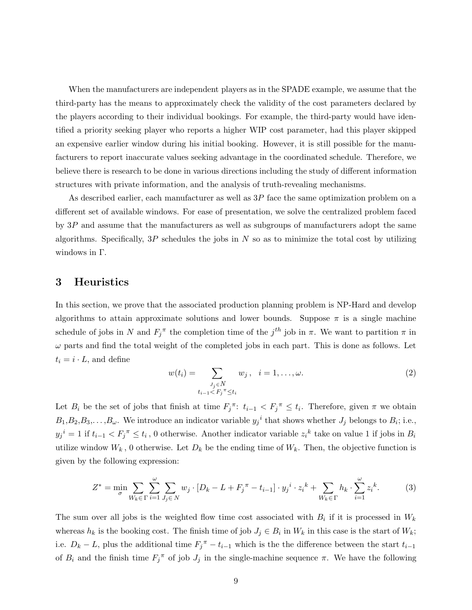When the manufacturers are independent players as in the SPADE example, we assume that the third-party has the means to approximately check the validity of the cost parameters declared by the players according to their individual bookings. For example, the third-party would have identified a priority seeking player who reports a higher WIP cost parameter, had this player skipped an expensive earlier window during his initial booking. However, it is still possible for the manufacturers to report inaccurate values seeking advantage in the coordinated schedule. Therefore, we believe there is research to be done in various directions including the study of different information structures with private information, and the analysis of truth-revealing mechanisms.

As described earlier, each manufacturer as well as  $3P$  face the same optimization problem on a different set of available windows. For ease of presentation, we solve the centralized problem faced by  $3P$  and assume that the manufacturers as well as subgroups of manufacturers adopt the same algorithms. Specifically,  $3P$  schedules the jobs in N so as to minimize the total cost by utilizing windows in Γ.

## **3 Heuristics**

In this section, we prove that the associated production planning problem is NP-Hard and develop algorithms to attain approximate solutions and lower bounds. Suppose  $\pi$  is a single machine schedule of jobs in N and  $F_i^{\pi}$  the completion time of the  $j^{th}$  job in  $\pi$ . We want to partition  $\pi$  in  $\omega$  parts and find the total weight of the completed jobs in each part. This is done as follows. Let  $t_i = i \cdot L$ , and define

$$
w(t_i) = \sum_{\substack{J_j \in N \\ t_{i-1} < F_j^{\pi} \le t_i}} w_j, \quad i = 1, \dots, \omega. \tag{2}
$$

Let  $B_i$  be the set of jobs that finish at time  $F_j^{\pi}$ :  $t_{i-1} < F_j^{\pi} \leq t_i$ . Therefore, given  $\pi$  we obtain  $B_1, B_2, B_3, \ldots, B_{\omega}$ . We introduce an indicator variable  $y_j^i$  that shows whether  $J_j$  belongs to  $B_i$ ; i.e.,  $y_j{}^i = 1$  if  $t_{i-1} < F_j{}^{\pi} \le t_i$ , 0 otherwise. Another indicator variable  $z_i{}^k$  take on value 1 if jobs in  $B_i$ utilize window  $W_k$ , 0 otherwise. Let  $D_k$  be the ending time of  $W_k$ . Then, the objective function is given by the following expression:

$$
Z^* = \min_{\sigma} \sum_{W_k \in \Gamma} \sum_{i=1}^{\omega} \sum_{J_j \in N} w_j \cdot [D_k - L + F_j^{\pi} - t_{i-1}] \cdot y_j^i \cdot z_i^k + \sum_{W_k \in \Gamma} h_k \cdot \sum_{i=1}^{\omega} z_i^k. \tag{3}
$$

The sum over all jobs is the weighted flow time cost associated with  $B_i$  if it is processed in  $W_k$ whereas  $h_k$  is the booking cost. The finish time of job  $J_j \in B_i$  in  $W_k$  in this case is the start of  $W_k$ ; i.e.  $D_k - L$ , plus the additional time  $F_j^{\pi} - t_{i-1}$  which is the the difference between the start  $t_{i-1}$ of  $B_i$  and the finish time  $F_j^{\pi}$  of job  $J_j$  in the single-machine sequence  $\pi$ . We have the following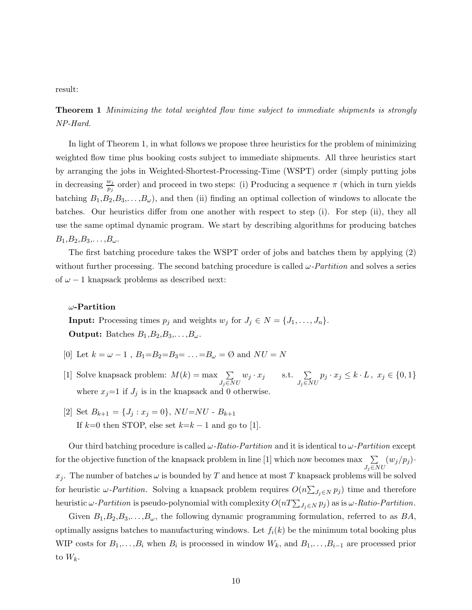result:

**Theorem 1** *Minimizing the total weighted flow time subject to immediate shipments is strongly NP-Hard.*

In light of Theorem 1, in what follows we propose three heuristics for the problem of minimizing weighted flow time plus booking costs subject to immediate shipments. All three heuristics start by arranging the jobs in Weighted-Shortest-Processing-Time (WSPT) order (simply putting jobs in decreasing  $\frac{w_j}{p_j}$  order) and proceed in two steps: (i) Producing a sequence  $\pi$  (which in turn yields batching  $B_1, B_2, B_3, \ldots, B_{\omega}$ , and then (ii) finding an optimal collection of windows to allocate the batches. Our heuristics differ from one another with respect to step (i). For step (ii), they all use the same optimal dynamic program. We start by describing algorithms for producing batches  $B_1,B_2,B_3,\ldots,B_{\omega}$ .

The first batching procedure takes the WSPT order of jobs and batches them by applying (2) without further processing. The second batching procedure is called  $\omega$ -*Partition* and solves a series of  $\omega - 1$  knapsack problems as described next:

## ω**-Partition**

**Input:** Processing times  $p_j$  and weights  $w_j$  for  $J_j \in N = \{J_1, \ldots, J_n\}.$ **Output:** Batches  $B_1, B_2, B_3, \ldots, B_{\omega}$ .

- [0] Let  $k = \omega 1$ ,  $B_1 = B_2 = B_3 = \ldots = B_\omega = \emptyset$  and  $NU = N$
- [1] Solve knapsack problem:  $M(k) = \max \sum_{k=1}^{k}$  $J_i \overline{\in} N U$  $w_j \cdot x_j$  s.t.  $\sum$  $J_i \overline{\in} N U$  $p_j \cdot x_j \leq k \cdot L$ ,  $x_j \in \{0, 1\}$ where  $x_j=1$  if  $J_j$  is in the knapsack and 0 otherwise.
- [2] Set  $B_{k+1} = \{J_j : x_j = 0\}$ ,  $NU=NU B_{k+1}$ If  $k=0$  then STOP, else set  $k=k-1$  and go to [1].

Our third batching procedure is called ω*-Ratio-Partition* and it is identical to ω*-Partition* except for the objective function of the knapsack problem in line [1] which now becomes max  $\sum$  $J_j \widetilde{\in} N U$  $(w_j/p_j)$  $x_j$ . The number of batches  $\omega$  is bounded by T and hence at most T knapsack problems will be solved for heuristic  $\omega$ -*Partition*. Solving a knapsack problem requires  $O(n \sum_{J_i \in N} p_j)$  time and therefore heuristic  $\omega$ -*Partition* is pseudo-polynomial with complexity  $O(nT\sum_{J_j\in N}p_j)$  as is  $\omega$ -*Ratio-Partition*.

Given  $B_1, B_2, B_3, \ldots, B_{\omega}$ , the following dynamic programming formulation, referred to as  $BA$ , optimally assigns batches to manufacturing windows. Let  $f_i(k)$  be the minimum total booking plus WIP costs for  $B_1,\ldots,B_i$  when  $B_i$  is processed in window  $W_k$ , and  $B_1,\ldots,B_{i-1}$  are processed prior to  $W_k$ .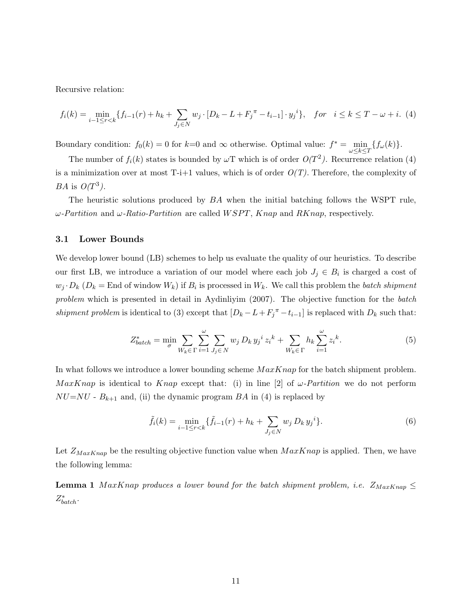Recursive relation:

$$
f_i(k) = \min_{i-1 \le r < k} \{ f_{i-1}(r) + h_k + \sum_{J_j \in N} w_j \cdot [D_k - L + F_j^\pi - t_{i-1}] \cdot y_j^i \}, \quad \text{for} \quad i \le k \le T - \omega + i. \tag{4}
$$

Boundary condition:  $f_0(k) = 0$  for  $k=0$  and  $\infty$  otherwise. Optimal value:  $f^* = \min_{\omega \le k \le T} \{f_\omega(k)\}.$ 

The number of  $f_i(k)$  states is bounded by  $\omega$ T which is of order  $O(T^2)$ . Recurrence relation (4) is a minimization over at most  $T-i+1$  values, which is of order  $O(T)$ . Therefore, the complexity of *BA* is  $O(T^3)$ .

The heuristic solutions produced by  $BA$  when the initial batching follows the WSPT rule, ω*-Partition* and ω*-Ratio-Partition* are called WSPT, Knap and RKnap, respectively.

## **3.1 Lower Bounds**

We develop lower bound (LB) schemes to help us evaluate the quality of our heuristics. To describe our first LB, we introduce a variation of our model where each job  $J_j \in B_i$  is charged a cost of  $w_j \cdot D_k$  ( $D_k =$  End of window  $W_k$ ) if  $B_i$  is processed in  $W_k$ . We call this problem the *batch shipment problem* which is presented in detail in Aydinliyim (2007). The objective function for the *batch shipment problem* is identical to (3) except that  $[D_k - L + F_j^T - t_{i-1}]$  is replaced with  $D_k$  such that:

$$
Z_{batch}^{*} = \min_{\sigma} \sum_{W_k \in \Gamma} \sum_{i=1}^{\omega} \sum_{J_j \in N} w_j D_k y_j^{i} z_i^{k} + \sum_{W_k \in \Gamma} h_k \sum_{i=1}^{\omega} z_i^{k}.
$$
 (5)

In what follows we introduce a lower bounding scheme  $MaxKnap$  for the batch shipment problem. MaxKnap is identical to Knap except that: (i) in line [2] of  $\omega$ -Partition we do not perform  $NU=NU$  -  $B_{k+1}$  and, (ii) the dynamic program BA in (4) is replaced by

$$
\tilde{f}_i(k) = \min_{i-1 \le r < k} \{ \tilde{f}_{i-1}(r) + h_k + \sum_{J_j \in \mathbb{N}} w_j D_k y_j \}.
$$
\n(6)

Let  $Z_{MaxKnap}$  be the resulting objective function value when  $MaxKnap$  is applied. Then, we have the following lemma:

**Lemma 1** MaxKnap produces a lower bound for the batch shipment problem, i.e.  $Z_{MaxKnap} \leq$ Z<sup>∗</sup> batch*.*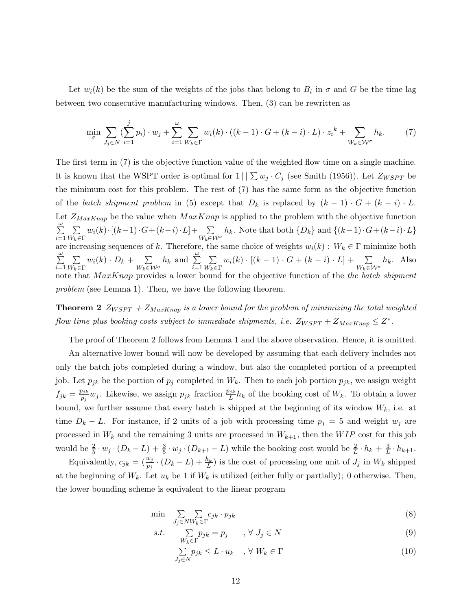Let  $w_i(k)$  be the sum of the weights of the jobs that belong to  $B_i$  in  $\sigma$  and G be the time lag between two consecutive manufacturing windows. Then, (3) can be rewritten as

$$
\min_{\sigma} \sum_{J_j \in N} (\sum_{i=1}^j p_i) \cdot w_j + \sum_{i=1}^{\omega} \sum_{W_k \in \Gamma} w_i(k) \cdot ((k-1) \cdot G + (k-i) \cdot L) \cdot z_i^k + \sum_{W_k \in \mathcal{W}^{\sigma}} h_k. \tag{7}
$$

The first term in (7) is the objective function value of the weighted flow time on a single machine. It is known that the WSPT order is optimal for  $1 \mid \sum w_j \cdot C_j$  (see Smith (1956)). Let  $Z_{WSPT}$  be the minimum cost for this problem. The rest of (7) has the same form as the objective function of the *batch shipment problem* in (5) except that  $D_k$  is replaced by  $(k-1) \cdot G + (k-i) \cdot L$ . Let  $Z_{MaxKnap}$  be the value when  $MaxKnap$  is applied to the problem with the objective function  $\sum$  $\sum_{i=1}$  $\sum$  $W_k \in \Gamma$  $w_i(k) \cdot [(k-1) \cdot G + (k-i) \cdot L] + \sum$  $W_k \widetilde{\in} \mathcal{W}^\sigma$  $h_k$ . Note that both  $\{D_k\}$  and  $\{(k-1)\cdot G + (k-i)\cdot L\}$ are increasing sequences of k. Therefore, the same choice of weights  $w_i(k) : W_k \in \Gamma$  minimize both  $\omega$  $\sum$  $\sum_{i=1}$  $\sum$  $W_k \in \Gamma$  $w_i(k) \cdot D_k + \sum$  $W_k \widetilde{\in} \mathcal{W}^\sigma$  $h_k$  and  $\Sigma$  $\sum_{i=1}$  $\sum$  $W_k \in \Gamma$  $w_i(k) \cdot [(k-1) \cdot G + (k-i) \cdot L] + \sum$  $W_k \widetilde{\in} \mathcal{W}^\sigma$  $h_k$ . Also note that  $MaxKnap$  provides a lower bound for the objective function of the *the batch shipment problem* (see Lemma 1). Then, we have the following theorem.

**Theorem 2**  $Z_{WSPT}$  +  $Z_{MaxKnap}$  *is a lower bound for the problem of minimizing the total weighted flow time plus booking costs subject to immediate shipments, i.e.*  $Z_{WSPT} + Z_{MaxKnap} \leq Z^*$ .

The proof of Theorem 2 follows from Lemma 1 and the above observation. Hence, it is omitted.

An alternative lower bound will now be developed by assuming that each delivery includes not only the batch jobs completed during a window, but also the completed portion of a preempted job. Let  $p_{jk}$  be the portion of  $p_j$  completed in  $W_k$ . Then to each job portion  $p_{jk}$ , we assign weight  $f_{jk} = \frac{p_{jk}}{p_i} w_j$ . Likewise, we assign  $p_{jk}$  fraction  $\frac{p_{jk}}{L} h_k$  of the booking cost of  $W_k$ . To obtain a lower bound, we further assume that every batch is shipped at the beginning of its window  $W_k$ , i.e. at time  $D_k - L$ . For instance, if 2 units of a job with processing time  $p_j = 5$  and weight  $w_j$  are processed in  $W_k$  and the remaining 3 units are processed in  $W_{k+1}$ , then the  $WIP$  cost for this job would be  $\frac{2}{5} \cdot w_j \cdot (D_k - L) + \frac{3}{5} \cdot w_j \cdot (D_{k+1} - L)$  while the booking cost would be  $\frac{2}{L} \cdot h_k + \frac{3}{L} \cdot h_{k+1}$ .

Equivalently,  $c_{jk} = (\frac{w_j}{p_i} \cdot (D_k - L) + \frac{h_k}{L})$  is the cost of processing one unit of  $J_j$  in  $W_k$  shipped at the beginning of  $W_k$ . Let  $u_k$  be 1 if  $W_k$  is utilized (either fully or partially); 0 otherwise. Then, the lower bounding scheme is equivalent to the linear program

$$
\min \quad \sum_{J_j \in NW_k \in \Gamma} c_{jk} \cdot p_{jk} \tag{8}
$$

$$
s.t. \quad \sum_{W_k \in \Gamma} p_{jk} = p_j \quad \forall \ J_j \in N \tag{9}
$$

$$
\sum_{J_j \in N} p_{jk} \le L \cdot u_k \quad , \forall \ W_k \in \Gamma \tag{10}
$$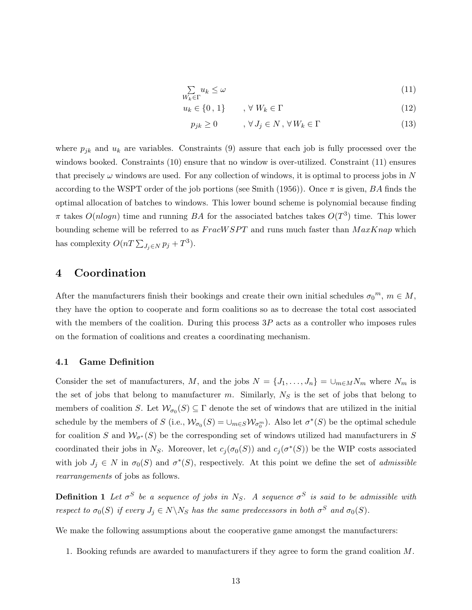$$
\sum_{W_k \in \Gamma} u_k \le \omega \tag{11}
$$

$$
u_k \in \{0, 1\} \qquad , \forall \ W_k \in \Gamma \tag{12}
$$

$$
p_{jk} \ge 0 \qquad , \forall J_j \in N, \forall W_k \in \Gamma \tag{13}
$$

where  $p_{jk}$  and  $u_k$  are variables. Constraints (9) assure that each job is fully processed over the windows booked. Constraints (10) ensure that no window is over-utilized. Constraint (11) ensures that precisely  $\omega$  windows are used. For any collection of windows, it is optimal to process jobs in N according to the WSPT order of the job portions (see Smith (1956)). Once  $\pi$  is given, BA finds the optimal allocation of batches to windows. This lower bound scheme is polynomial because finding  $\pi$  takes  $O(n \log n)$  time and running BA for the associated batches takes  $O(T^3)$  time. This lower bounding scheme will be referred to as  $F \textit{racW} SPT$  and runs much faster than  $\textit{MaxK}$  nap which has complexity  $O(nT \sum_{J_j \in N} p_j + T^3)$ .

# **4 Coordination**

After the manufacturers finish their bookings and create their own initial schedules  $\sigma_0^m$ ,  $m \in M$ , they have the option to cooperate and form coalitions so as to decrease the total cost associated with the members of the coalition. During this process  $3P$  acts as a controller who imposes rules on the formation of coalitions and creates a coordinating mechanism.

## **4.1 Game Definition**

Consider the set of manufacturers, M, and the jobs  $N = \{J_1, \ldots, J_n\} = \bigcup_{m \in M} N_m$  where  $N_m$  is the set of jobs that belong to manufacturer m. Similarly,  $N<sub>S</sub>$  is the set of jobs that belong to members of coalition S. Let  $W_{\sigma_0}(S) \subseteq \Gamma$  denote the set of windows that are utilized in the initial schedule by the members of S (i.e.,  $\mathcal{W}_{\sigma_0}(S) = \cup_{m \in S} \mathcal{W}_{\sigma_0^m}$ ). Also let  $\sigma^*(S)$  be the optimal schedule for coalition S and  $\mathcal{W}_{\sigma^*}(S)$  be the corresponding set of windows utilized had manufacturers in S coordinated their jobs in N<sub>S</sub>. Moreover, let  $c_i(\sigma_0(S))$  and  $c_i(\sigma^*(S))$  be the WIP costs associated with job  $J_i \in N$  in  $\sigma_0(S)$  and  $\sigma^*(S)$ , respectively. At this point we define the set of *admissible rearrangements* of jobs as follows.

**Definition 1** *Let*  $\sigma^S$  *be a sequence of jobs in*  $N_S$ . A sequence  $\sigma^S$  *is said to be admissible with respect to*  $\sigma_0(S)$  *if every*  $J_j \in N \backslash N_S$  *has the same predecessors in both*  $\sigma^S$  *and*  $\sigma_0(S)$ *.* 

We make the following assumptions about the cooperative game amongst the manufacturers:

1. Booking refunds are awarded to manufacturers if they agree to form the grand coalition M.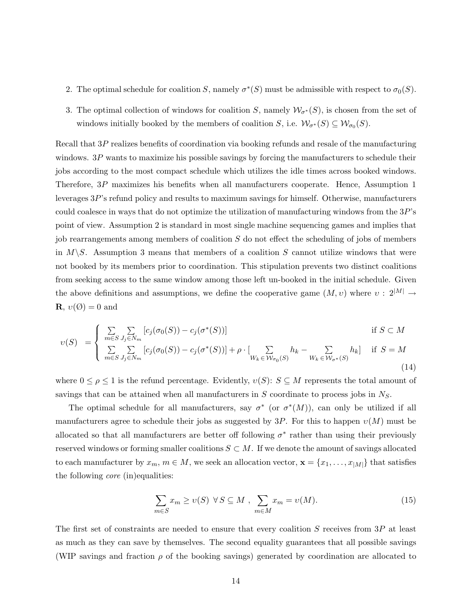- 2. The optimal schedule for coalition S, namely  $\sigma^*(S)$  must be admissible with respect to  $\sigma_0(S)$ .
- 3. The optimal collection of windows for coalition S, namely  $\mathcal{W}_{\sigma^*}(S)$ , is chosen from the set of windows initially booked by the members of coalition S, i.e.  $\mathcal{W}_{\sigma^*}(S) \subseteq \mathcal{W}_{\sigma_0}(S)$ .

Recall that 3P realizes benefits of coordination via booking refunds and resale of the manufacturing windows. 3P wants to maximize his possible savings by forcing the manufacturers to schedule their jobs according to the most compact schedule which utilizes the idle times across booked windows. Therefore, 3P maximizes his benefits when all manufacturers cooperate. Hence, Assumption 1 leverages 3P's refund policy and results to maximum savings for himself. Otherwise, manufacturers could coalesce in ways that do not optimize the utilization of manufacturing windows from the 3P's point of view. Assumption 2 is standard in most single machine sequencing games and implies that job rearrangements among members of coalition  $S$  do not effect the scheduling of jobs of members in  $M\backslash S$ . Assumption 3 means that members of a coalition S cannot utilize windows that were not booked by its members prior to coordination. This stipulation prevents two distinct coalitions from seeking access to the same window among those left un-booked in the initial schedule. Given the above definitions and assumptions, we define the cooperative game  $(M, v)$  where  $v : 2^{|M|} \rightarrow$ **R**,  $v(\emptyset) = 0$  and

$$
v(S) = \begin{cases} \sum_{m \in S} \sum_{J_j \in N_m} [c_j(\sigma_0(S)) - c_j(\sigma^*(S))] & \text{if } S \subset M \\ \sum_{m \in S} \sum_{J_j \in N_m} [c_j(\sigma_0(S)) - c_j(\sigma^*(S))] + \rho \cdot \left[ \sum_{W_k \in W_{\sigma_0}(S)} h_k - \sum_{W_k \in W_{\sigma^*(S)}} h_k \right] & \text{if } S = M \end{cases}
$$
(14)

where  $0 \le \rho \le 1$  is the refund percentage. Evidently,  $v(S)$ :  $S \subseteq M$  represents the total amount of savings that can be attained when all manufacturers in  $S$  coordinate to process jobs in  $N_S$ .

The optimal schedule for all manufacturers, say  $\sigma^*$  (or  $\sigma^*(M)$ ), can only be utilized if all manufacturers agree to schedule their jobs as suggested by 3P. For this to happen  $\nu(M)$  must be allocated so that all manufacturers are better off following  $\sigma^*$  rather than using their previously reserved windows or forming smaller coalitions  $S \subset M$ . If we denote the amount of savings allocated to each manufacturer by  $x_m$ ,  $m \in M$ , we seek an allocation vector,  $\mathbf{x} = \{x_1, \ldots, x_{|M|}\}\)$  that satisfies the following *core* (in)equalities:

$$
\sum_{m \in S} x_m \ge v(S) \ \forall \, S \subseteq M \ , \ \sum_{m \in M} x_m = v(M). \tag{15}
$$

The first set of constraints are needed to ensure that every coalition  $S$  receives from  $3P$  at least as much as they can save by themselves. The second equality guarantees that all possible savings (WIP savings and fraction  $\rho$  of the booking savings) generated by coordination are allocated to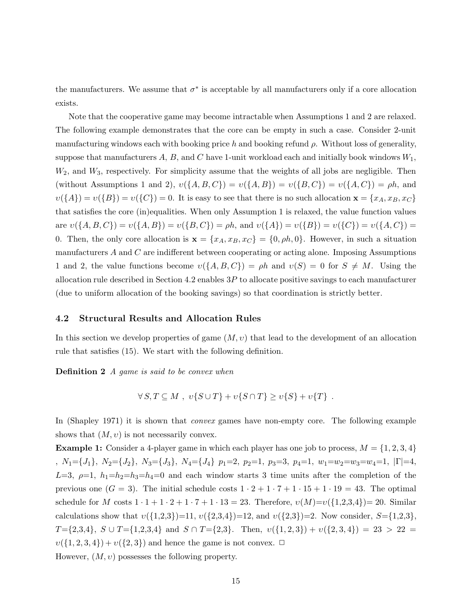the manufacturers. We assume that  $\sigma^*$  is acceptable by all manufacturers only if a core allocation exists.

Note that the cooperative game may become intractable when Assumptions 1 and 2 are relaxed. The following example demonstrates that the core can be empty in such a case. Consider 2-unit manufacturing windows each with booking price h and booking refund  $\rho$ . Without loss of generality, suppose that manufacturers A, B, and C have 1-unit workload each and initially book windows  $W_1$ ,  $W_2$ , and  $W_3$ , respectively. For simplicity assume that the weights of all jobs are negligible. Then (without Assumptions 1 and 2),  $v({A, B, C}) = v({A, B}) = v({B, C}) = v({A, C}) = \rho h$ , and  $v({A}) = v({B}) = v({C}) = 0$ . It is easy to see that there is no such allocation  $\mathbf{x} = {x_A, x_B, x_C}$ that satisfies the core (in)equalities. When only Assumption 1 is relaxed, the value function values are  $v(\{A, B, C\}) = v(\{A, B\}) = v(\{B, C\}) = \rho h$ , and  $v(\{A\}) = v(\{B\}) = v(\{C\}) = v(\{A, C\}) =$ 0. Then, the only core allocation is  $\mathbf{x} = \{x_A, x_B, x_C\} = \{0, \rho h, 0\}$ . However, in such a situation manufacturers  $A$  and  $C$  are indifferent between cooperating or acting alone. Imposing Assumptions 1 and 2, the value functions become  $v({A, B, C}) = \rho h$  and  $v(S) = 0$  for  $S \neq M$ . Using the allocation rule described in Section 4.2 enables  $3P$  to allocate positive savings to each manufacturer (due to uniform allocation of the booking savings) so that coordination is strictly better.

## **4.2 Structural Results and Allocation Rules**

In this section we develop properties of game  $(M, v)$  that lead to the development of an allocation rule that satisfies (15). We start with the following definition.

**Definition 2** *A game is said to be convex when*

$$
\forall S, T \subseteq M \ , \ v\{S \cup T\} + v\{S \cap T\} \ge v\{S\} + v\{T\} \ .
$$

In (Shapley 1971) it is shown that *convex* games have non-empty core. The following example shows that  $(M, v)$  is not necessarily convex.

**Example 1:** Consider a 4-player game in which each player has one job to process,  $M = \{1, 2, 3, 4\}$ ,  $N_1 = \{J_1\}$ ,  $N_2 = \{J_2\}$ ,  $N_3 = \{J_3\}$ ,  $N_4 = \{J_4\}$   $p_1 = 2$ ,  $p_2 = 1$ ,  $p_3 = 3$ ,  $p_4 = 1$ ,  $w_1 = w_2 = w_3 = w_4 = 1$ ,  $|\Gamma| = 4$ ,  $L=3$ ,  $\rho=1$ ,  $h_1=h_2=h_3=h_4=0$  and each window starts 3 time units after the completion of the previous one  $(G = 3)$ . The initial schedule costs  $1 \cdot 2 + 1 \cdot 7 + 1 \cdot 15 + 1 \cdot 19 = 43$ . The optimal schedule for M costs  $1 \cdot 1 + 1 \cdot 2 + 1 \cdot 7 + 1 \cdot 13 = 23$ . Therefore,  $v(M)=v({1,2,3,4})=20$ . Similar calculations show that  $v({1,2,3})=11, v({2,3,4})=12,$  and  $v({2,3})=2$ . Now consider,  $S={1,2,3},$ T={2,3,4},  $S \cup T$ ={1,2,3,4} and  $S \cap T$ ={2,3}. Then,  $v({1, 2, 3}) + v({2, 3, 4}) = 23 > 22 =$  $v({1, 2, 3, 4}) + v({2, 3})$  and hence the game is not convex.  $\Box$ However,  $(M, v)$  possesses the following property.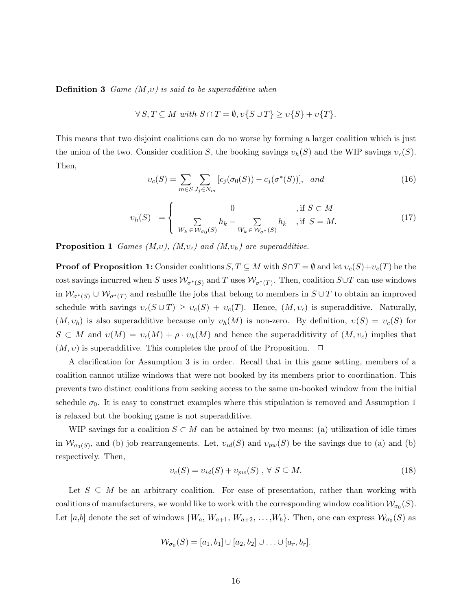**Definition 3** *Game (*M*,*υ*) is said to be superadditive when*

$$
\forall S, T \subseteq M \text{ with } S \cap T = \emptyset, v\{S \cup T\} \ge v\{S\} + v\{T\}.
$$

This means that two disjoint coalitions can do no worse by forming a larger coalition which is just the union of the two. Consider coalition S, the booking savings  $v_h(S)$  and the WIP savings  $v_c(S)$ . Then,

$$
v_c(S) = \sum_{m \in S} \sum_{J_j \in N_m} [c_j(\sigma_0(S)) - c_j(\sigma^*(S))], \text{ and } (16)
$$

$$
v_h(S) = \begin{cases} 0 & , \text{if } S \subset M \\ \sum_{W_k \in \mathcal{W}_{\sigma_0}(S)} h_k - \sum_{W_k \in \mathcal{W}_{\sigma^*}(S)} h_k & , \text{if } S = M. \end{cases} \tag{17}
$$

**Proposition 1** *Games (M,v), (M,v<sub>c</sub>) and (M,v<sub>h</sub>) are superadditive.* 

**Proof of Proposition 1:** Consider coalitions  $S, T \subseteq M$  with  $S \cap T = \emptyset$  and let  $v_c(S) + v_c(T)$  be the cost savings incurred when S uses  $\mathcal{W}_{\sigma^*(S)}$  and T uses  $\mathcal{W}_{\sigma^*(T)}$ . Then, coalition S∪T can use windows in  $\mathcal{W}_{\sigma^*(S)} \cup \mathcal{W}_{\sigma^*(T)}$  and reshuffle the jobs that belong to members in  $S \cup T$  to obtain an improved schedule with savings  $v_c(S \cup T) \ge v_c(S) + v_c(T)$ . Hence,  $(M, v_c)$  is superadditive. Naturally,  $(M, v_h)$  is also superadditive because only  $v_h(M)$  is non-zero. By definition,  $v(S) = v_c(S)$  for  $S \subset M$  and  $v(M) = v_c(M) + \rho \cdot v_h(M)$  and hence the superadditivity of  $(M, v_c)$  implies that  $(M, v)$  is superadditive. This completes the proof of the Proposition.  $\Box$ 

A clarification for Assumption 3 is in order. Recall that in this game setting, members of a coalition cannot utilize windows that were not booked by its members prior to coordination. This prevents two distinct coalitions from seeking access to the same un-booked window from the initial schedule  $\sigma_0$ . It is easy to construct examples where this stipulation is removed and Assumption 1 is relaxed but the booking game is not superadditive.

WIP savings for a coalition  $S \subset M$  can be attained by two means: (a) utilization of idle times in  $W_{\sigma_0(S)}$ , and (b) job rearrangements. Let,  $v_{id}(S)$  and  $v_{pw}(S)$  be the savings due to (a) and (b) respectively. Then,

$$
v_c(S) = v_{id}(S) + v_{pw}(S) , \forall S \subseteq M.
$$
\n
$$
(18)
$$

Let  $S \subseteq M$  be an arbitrary coalition. For ease of presentation, rather than working with coalitions of manufacturers, we would like to work with the corresponding window coalition  $\mathcal{W}_{\sigma_0}(S)$ . Let [a,b] denote the set of windows  $\{W_a, W_{a+1}, W_{a+2}, \ldots, W_b\}$ . Then, one can express  $\mathcal{W}_{\sigma_0}(S)$  as

$$
\mathcal{W}_{\sigma_0}(S)=[a_1,b_1]\cup[a_2,b_2]\cup\ldots\cup[a_r,b_r].
$$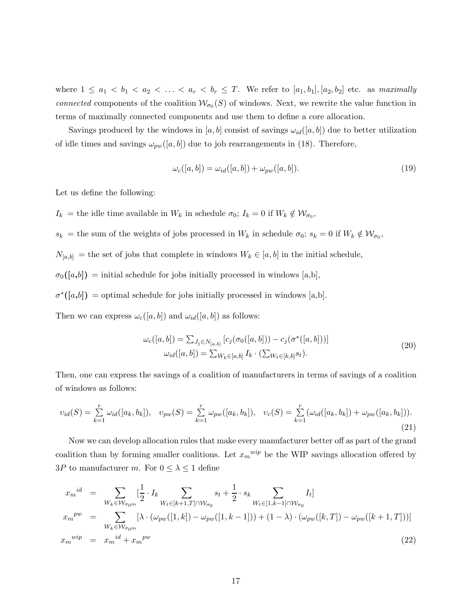where  $1 \le a_1 < b_1 < a_2 < \ldots < a_r < b_r \le T$ . We refer to  $[a_1, b_1], [a_2, b_2]$  etc. as *maximally connected* components of the coalition  $W_{\sigma_0}(S)$  of windows. Next, we rewrite the value function in terms of maximally connected components and use them to define a core allocation.

Savings produced by the windows in [a, b] consist of savings  $\omega_{id}([a, b])$  due to better utilization of idle times and savings  $\omega_{pw}([a, b])$  due to job rearrangements in (18). Therefore,

$$
\omega_c([a,b]) = \omega_{id}([a,b]) + \omega_{pw}([a,b]). \tag{19}
$$

Let us define the following:

 $I_k =$  the idle time available in  $W_k$  in schedule  $\sigma_0$ ;  $I_k = 0$  if  $W_k \notin \mathcal{W}_{\sigma_0}$ ,

 $s_k =$  the sum of the weights of jobs processed in  $W_k$  in schedule  $\sigma_0$ ;  $s_k = 0$  if  $W_k \notin \mathcal{W}_{\sigma_0}$ ,

 $N_{[a,b]}$  = the set of jobs that complete in windows  $W_k \in [a,b]$  in the initial schedule,

 $\sigma_0([a,b])$  = initial schedule for jobs initially processed in windows [a,b],

 $\sigma^*([a,b])$  = optimal schedule for jobs initially processed in windows [a,b].

Then we can express  $\omega_c([a, b])$  and  $\omega_{id}([a, b])$  as follows:

$$
\omega_c([a, b]) = \sum_{J_j \in N_{[a, b]}} [c_j(\sigma_0([a, b])) - c_j(\sigma^*([a, b]))]
$$
  

$$
\omega_{id}([a, b]) = \sum_{W_k \in [a, b]} I_k \cdot (\sum_{W_t \in [k, b]} s_t).
$$
 (20)

Then, one can express the savings of a coalition of manufacturers in terms of savings of a coalition of windows as follows:

$$
v_{id}(S) = \sum_{k=1}^{r} \omega_{id}([a_k, b_k]), \quad v_{pw}(S) = \sum_{k=1}^{r} \omega_{pw}([a_k, b_k]), \quad v_c(S) = \sum_{k=1}^{r} (\omega_{id}([a_k, b_k]) + \omega_{pw}([a_k, b_k])).
$$
\n(21)

Now we can develop allocation rules that make every manufacturer better off as part of the grand coalition than by forming smaller coalitions. Let  $x_m^{wip}$  be the WIP savings allocation offered by 3P to manufacturer m. For  $0 \leq \lambda \leq 1$  define

$$
x_m^{id} = \sum_{W_k \in \mathcal{W}_{\sigma_{0m}}} \left[\frac{1}{2} \cdot I_k \sum_{W_t \in [k+1, T] \cap \mathcal{W}_{\sigma_0}} s_t + \frac{1}{2} \cdot s_k \sum_{W_t \in [1, k-1] \cap \mathcal{W}_{\sigma_0}} I_t\right]
$$
  
\n
$$
x_m^{pw} = \sum_{W_k \in \mathcal{W}_{\sigma_{0m}}} \left[\lambda \cdot (\omega_{pw}([1, k]) - \omega_{pw}([1, k-1])) + (1 - \lambda) \cdot (\omega_{pw}([k, T]) - \omega_{pw}([k+1, T]))\right]
$$
  
\n
$$
x_m^{wip} = x_m^{id} + x_m^{pw}
$$
\n(22)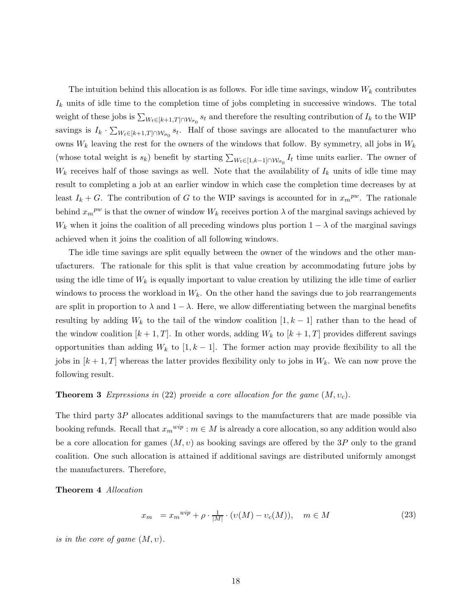The intuition behind this allocation is as follows. For idle time savings, window  $W_k$  contributes  $I_k$  units of idle time to the completion time of jobs completing in successive windows. The total weight of these jobs is  $\sum_{W_t \in [k+1,T] \cap W_{\sigma_0}} s_t$  and therefore the resulting contribution of  $I_k$  to the WIP savings is  $I_k \cdot \sum_{W_t \in [k+1,T] \cap W_{\sigma_0}} s_t$ . Half of those savings are allocated to the manufacturer who owns  $W_k$  leaving the rest for the owners of the windows that follow. By symmetry, all jobs in  $W_k$ (whose total weight is  $s_k$ ) benefit by starting  $\sum_{W_t \in [1,k-1] \cap W_{\sigma_0}} I_t$  time units earlier. The owner of  $W_k$  receives half of those savings as well. Note that the availability of  $I_k$  units of idle time may result to completing a job at an earlier window in which case the completion time decreases by at least  $I_k + G$ . The contribution of G to the WIP savings is accounted for in  $x_m^{pw}$ . The rationale behind  $x_m^{pw}$  is that the owner of window  $W_k$  receives portion  $\lambda$  of the marginal savings achieved by  $W_k$  when it joins the coalition of all preceding windows plus portion  $1 - \lambda$  of the marginal savings achieved when it joins the coalition of all following windows.

The idle time savings are split equally between the owner of the windows and the other manufacturers. The rationale for this split is that value creation by accommodating future jobs by using the idle time of  $W_k$  is equally important to value creation by utilizing the idle time of earlier windows to process the workload in  $W_k$ . On the other hand the savings due to job rearrangements are split in proportion to  $\lambda$  and  $1 - \lambda$ . Here, we allow differentiating between the marginal benefits resulting by adding  $W_k$  to the tail of the window coalition  $[1, k - 1]$  rather than to the head of the window coalition  $[k+1, T]$ . In other words, adding  $W_k$  to  $[k+1, T]$  provides different savings opportunities than adding  $W_k$  to  $[1, k-1]$ . The former action may provide flexibility to all the jobs in  $[k+1, T]$  whereas the latter provides flexibility only to jobs in  $W_k$ . We can now prove the following result.

## **Theorem 3** *Expressions in* (22) *provide a core allocation for the game*  $(M, v_c)$ *.*

The third party 3P allocates additional savings to the manufacturers that are made possible via booking refunds. Recall that  $x_m^{wip}$ :  $m \in M$  is already a core allocation, so any addition would also be a core allocation for games  $(M, v)$  as booking savings are offered by the 3P only to the grand coalition. One such allocation is attained if additional savings are distributed uniformly amongst the manufacturers. Therefore,

**Theorem 4** *Allocation*

$$
x_m = x_m^{wip} + \rho \cdot \frac{1}{|M|} \cdot (v(M) - v_c(M)), \quad m \in M \tag{23}
$$

*is in the core of game*  $(M, v)$ *.*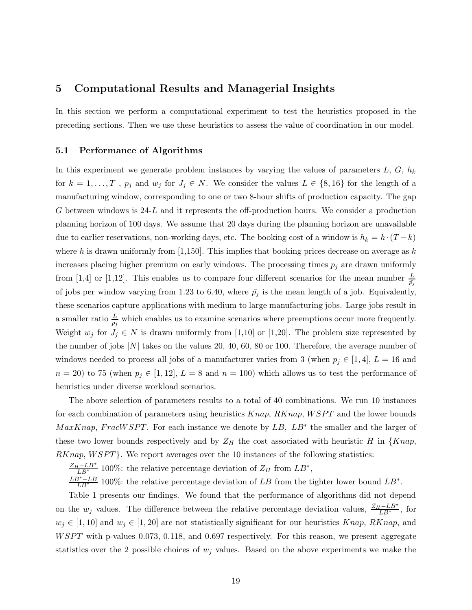# **5 Computational Results and Managerial Insights**

In this section we perform a computational experiment to test the heuristics proposed in the preceding sections. Then we use these heuristics to assess the value of coordination in our model.

## **5.1 Performance of Algorithms**

In this experiment we generate problem instances by varying the values of parameters  $L, G, h_k$ for  $k = 1, ..., T$ ,  $p_j$  and  $w_j$  for  $J_j \in N$ . We consider the values  $L \in \{8, 16\}$  for the length of a manufacturing window, corresponding to one or two 8-hour shifts of production capacity. The gap G between windows is  $24-L$  and it represents the off-production hours. We consider a production planning horizon of 100 days. We assume that 20 days during the planning horizon are unavailable due to earlier reservations, non-working days, etc. The booking cost of a window is  $h_k = h \cdot (T - k)$ where h is drawn uniformly from [1,150]. This implies that booking prices decrease on average as  $k$ increases placing higher premium on early windows. The processing times  $p_j$  are drawn uniformly from [1,4] or [1,12]. This enables us to compare four different scenarios for the mean number  $\frac{L}{\bar{p}_j}$ of jobs per window varying from 1.23 to 6.40, where  $\bar{p}_j$  is the mean length of a job. Equivalently, these scenarios capture applications with medium to large manufacturing jobs. Large jobs result in a smaller ratio  $\frac{L}{\bar{p}_j}$  which enables us to examine scenarios where preemptions occur more frequently. Weight  $w_j$  for  $J_j \in N$  is drawn uniformly from [1,10] or [1,20]. The problem size represented by the number of jobs  $|N|$  takes on the values 20, 40, 60, 80 or 100. Therefore, the average number of windows needed to process all jobs of a manufacturer varies from 3 (when  $p_j \in [1, 4], L = 16$  and  $n = 20$ ) to 75 (when  $p_j \in [1, 12]$ ,  $L = 8$  and  $n = 100$ ) which allows us to test the performance of heuristics under diverse workload scenarios.

The above selection of parameters results to a total of 40 combinations. We run 10 instances for each combination of parameters using heuristics  $Knap$ ,  $RKnap$ ,  $WSPT$  and the lower bounds  $MaxKnap, FracWSPT.$  For each instance we denote by  $LB$ ,  $LB^*$  the smaller and the larger of these two lower bounds respectively and by  $Z_H$  the cost associated with heuristic H in {Knap, RKnap, WSPT}. We report averages over the 10 instances of the following statistics:

 $\frac{Z_H - LB^*}{LB^*}$  100%: the relative percentage deviation of  $Z_H$  from  $LB^*$ ,

 $\frac{LB^* - LB}{LB^*}$  100%: the relative percentage deviation of LB from the tighter lower bound  $LB^*$ .

Table 1 presents our findings. We found that the performance of algorithms did not depend on the  $w_j$  values. The difference between the relative percentage deviation values,  $\frac{Z_H - LB^*}{LB^*}$ , for  $w_j \in [1, 10]$  and  $w_j \in [1, 20]$  are not statistically significant for our heuristics Knap, RKnap, and WSPT with p-values 0.073, 0.118, and 0.697 respectively. For this reason, we present aggregate statistics over the 2 possible choices of  $w_j$  values. Based on the above experiments we make the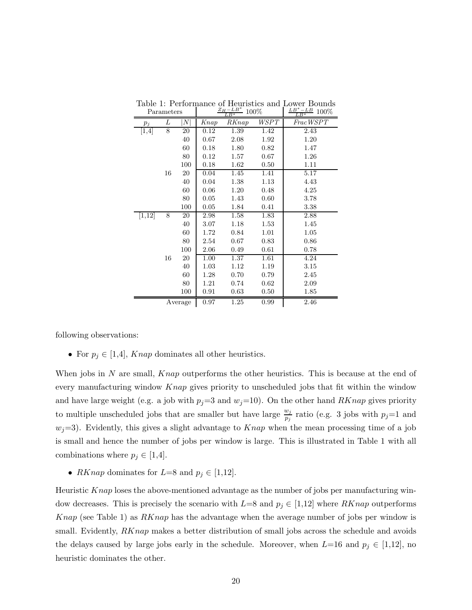|         | Parameters |                |          | n<br>$L_{\cdot}B^*$ | 100%        | 100%<br>$LR^*$ |
|---------|------------|----------------|----------|---------------------|-------------|----------------|
| $p_j$   | L          | $\overline{N}$ | Knap     | RKnap               | <b>WSPT</b> | FracWSPT       |
| [1,4]   | 8          | 20             | 0.12     | 1.39                | 1.42        | 2.43           |
|         |            | 40             | 0.67     | 2.08                | 1.92        | 1.20           |
|         |            | 60             | 0.18     | 1.80                | 0.82        | 1.47           |
|         |            | 80             | 0.12     | 1.57                | 0.67        | 1.26           |
|         |            | 100            | 0.18     | 1.62                | 0.50        | 1.11           |
|         | 16         | 20             | 0.04     | 1.45                | 1.41        | 5.17           |
|         |            | 40             | 0.04     | 1.38                | 1.13        | 4.43           |
|         |            | 60             | 0.06     | 1.20                | 0.48        | 4.25           |
|         |            | 80             | 0.05     | 1.43                | 0.60        | 3.78           |
|         |            | 100            | 0.05     | 1.84                | 0.41        | 3.38           |
| [1, 12] | 8          | 20             | 2.98     | 1.58                | 1.83        | 2.88           |
|         |            | 40             | $3.07\,$ | 1.18                | 1.53        | 1.45           |
|         |            | 60             | 1.72     | 0.84                | 1.01        | 1.05           |
|         |            | 80             | 2.54     | 0.67                | 0.83        | 0.86           |
|         |            | 100            | 2.06     | 0.49                | 0.61        | 0.78           |
|         | 16         | 20             | 1.00     | 1.37                | 1.61        | 4.24           |
|         |            | 40             | 1.03     | 1.12                | 1.19        | 3.15           |
|         |            | 60             | 1.28     | 0.70                | 0.79        | 2.45           |
|         |            | 80             | 1.21     | 0.74                | 0.62        | 2.09           |
|         |            | 100            | 0.91     | 0.63                | 0.50        | 1.85           |
|         | Average    |                | 0.97     | 1.25                | 0.99        | 2.46           |

Table 1: Performance of Heuristics and Lower Bounds Parameters  $\frac{Z_H - LB^*}{LB^*}$  100%  $\frac{LB^* - LB}{LB^*}$  100%

following observations:

• For  $p_j \in [1,4]$ , Knap dominates all other heuristics.

When jobs in N are small,  $Knap$  outperforms the other heuristics. This is because at the end of every manufacturing window Knap gives priority to unscheduled jobs that fit within the window and have large weight (e.g. a job with  $p_j=3$  and  $w_j=10$ ). On the other hand  $RKnap$  gives priority to multiple unscheduled jobs that are smaller but have large  $\frac{w_j}{p_i}$  ratio (e.g. 3 jobs with  $p_j=1$  and  $w_j=3$ . Evidently, this gives a slight advantage to  $Knap$  when the mean processing time of a job is small and hence the number of jobs per window is large. This is illustrated in Table 1 with all combinations where  $p_j \in [1,4]$ .

• RKnap dominates for  $L=8$  and  $p_j \in [1,12]$ .

Heuristic Knap loses the above-mentioned advantage as the number of jobs per manufacturing window decreases. This is precisely the scenario with  $L=8$  and  $p_j \in [1,12]$  where  $RKnap$  outperforms Knap (see Table 1) as  $RKnap$  has the advantage when the average number of jobs per window is small. Evidently, RKnap makes a better distribution of small jobs across the schedule and avoids the delays caused by large jobs early in the schedule. Moreover, when  $L=16$  and  $p_j \in [1,12]$ , no heuristic dominates the other.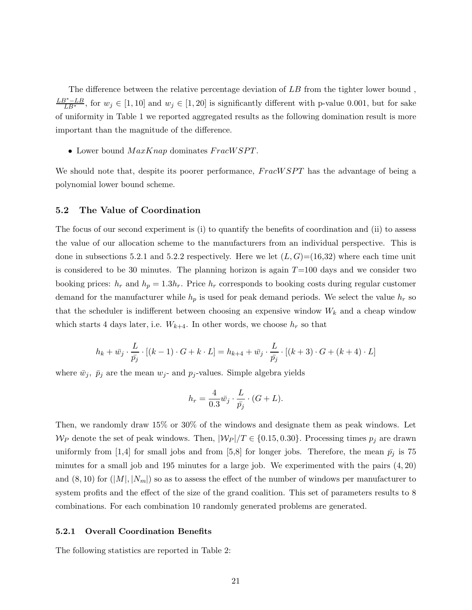The difference between the relative percentage deviation of LB from the tighter lower bound ,  $\frac{LB^* - LB}{LB^*}$ , for  $w_j \in [1, 10]$  and  $w_j \in [1, 20]$  is significantly different with p-value 0.001, but for sake of uniformity in Table 1 we reported aggregated results as the following domination result is more important than the magnitude of the difference.

• Lower bound  $MaxKnap$  dominates  $FracWSPT$ .

We should note that, despite its poorer performance,  $FracWSPT$  has the advantage of being a polynomial lower bound scheme.

## **5.2 The Value of Coordination**

The focus of our second experiment is (i) to quantify the benefits of coordination and (ii) to assess the value of our allocation scheme to the manufacturers from an individual perspective. This is done in subsections 5.2.1 and 5.2.2 respectively. Here we let  $(L, G) = (16, 32)$  where each time unit is considered to be 30 minutes. The planning horizon is again  $T=100$  days and we consider two booking prices:  $h_r$  and  $h_p = 1.3h_r$ . Price  $h_r$  corresponds to booking costs during regular customer demand for the manufacturer while  $h_p$  is used for peak demand periods. We select the value  $h_r$  so that the scheduler is indifferent between choosing an expensive window  $W_k$  and a cheap window which starts 4 days later, i.e.  $W_{k+4}$ . In other words, we choose  $h_r$  so that

$$
h_k + \bar{w_j} \cdot \frac{L}{\bar{p_j}} \cdot [(k-1) \cdot G + k \cdot L] = h_{k+4} + \bar{w_j} \cdot \frac{L}{\bar{p_j}} \cdot [(k+3) \cdot G + (k+4) \cdot L]
$$

where  $\bar{w}_j$ ,  $\bar{p}_j$  are the mean  $w_j$ - and  $p_j$ -values. Simple algebra yields

$$
h_r = \frac{4}{0.3}\overline{w}_j \cdot \frac{L}{\overline{p}_j} \cdot (G + L).
$$

Then, we randomly draw 15% or 30% of the windows and designate them as peak windows. Let  $W_P$  denote the set of peak windows. Then,  $|W_P|/T \in \{0.15, 0.30\}$ . Processing times  $p_j$  are drawn uniformly from [1,4] for small jobs and from [5,8] for longer jobs. Therefore, the mean  $\bar{p}_j$  is 75 minutes for a small job and 195 minutes for a large job. We experimented with the pairs (4, 20) and  $(8, 10)$  for  $(|M|, |N_m|)$  so as to assess the effect of the number of windows per manufacturer to system profits and the effect of the size of the grand coalition. This set of parameters results to 8 combinations. For each combination 10 randomly generated problems are generated.

## **5.2.1 Overall Coordination Benefits**

The following statistics are reported in Table 2: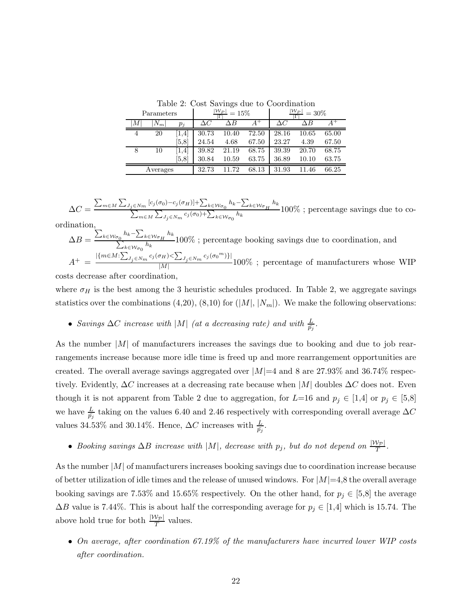Table 2: Cost Savings due to Coordination

| Parameters       |       |       | $ {\cal W}_P $<br>$=15%$<br>г |            |       | $ {\cal W}_P $<br>$= 30\%$ |       |       |
|------------------|-------|-------|-------------------------------|------------|-------|----------------------------|-------|-------|
| $\boldsymbol{M}$ | $N_m$ | $p_j$ | $\Delta C$                    | $\Delta B$ | $A^+$ | $\Delta C$                 | ΛB    |       |
| 4                | 20    | [1,4] | 30.73                         | 10.40      | 72.50 | 28.16                      | 10.65 | 65.00 |
|                  |       | 5,8   | 24.54                         | 4.68       | 67.50 | 23.27                      | 4.39  | 67.50 |
| 8                | 10    | 1,4   | 39.82                         | 21.19      | 68.75 | 39.39                      | 20.70 | 68.75 |
|                  |       | [5,8] | 30.84                         | 10.59      | 63.75 | 36.89                      | 10.10 | 63.75 |
| Averages         |       |       | 32.73                         | .72<br>11  | 68.13 | 31.93                      | 11.46 | 66.25 |

$$
\Delta C = \frac{\sum_{m \in M} \sum_{J_j \in N_m} [c_j(\sigma_0) - c_j(\sigma_H)] + \sum_{k \in \mathcal{W}_{\sigma_0}} h_k - \sum_{k \in \mathcal{W}_{\sigma_H}} h_k}{\sum_{m \in M} \sum_{J_j \in N_m} c_j(\sigma_0) + \sum_{k \in \mathcal{W}_{\sigma_0}} h_k} 100\% ;
$$
 percentage savings due to co-

ordination,

$$
\Delta B = \frac{\sum_{k \in W_{\sigma_0}} h_k - \sum_{k \in W_{\sigma_H}} h_k}{\sum_{k \in W_{\sigma_0}} h_k} 100\% \text{ ; percentage boosting savings due to coordination, and}
$$
\n
$$
A^+ = \frac{|\{m \in M : \sum_{J_j \in N_m} c_j(\sigma_H) < \sum_{J_j \in N_m} c_j(\sigma_0^m)\}|}{|M|} 100\% \text{ ; percentage of manufacturers whose WIP costs decrease after coordination,}
$$

where  $\sigma_H$  is the best among the 3 heuristic schedules produced. In Table 2, we aggregate savings statistics over the combinations  $(4,20)$ ,  $(8,10)$  for  $(|M|, |N_m|)$ . We make the following observations:

• Savings  $\Delta C$  increase with  $|M|$  (at a decreasing rate) and with  $\frac{L}{\bar{p}_j}$ .

As the number  $|M|$  of manufacturers increases the savings due to booking and due to job rearrangements increase because more idle time is freed up and more rearrangement opportunities are created. The overall average savings aggregated over  $|M|=4$  and 8 are 27.93% and 36.74% respectively. Evidently,  $\Delta C$  increases at a decreasing rate because when  $|M|$  doubles  $\Delta C$  does not. Even though it is not apparent from Table 2 due to aggregation, for  $L=16$  and  $p_j \in [1,4]$  or  $p_j \in [5,8]$ we have  $\frac{L}{\bar{p}_j}$  taking on the values 6.40 and 2.46 respectively with corresponding overall average  $\Delta C$ values 34.53% and 30.14%. Hence,  $\Delta C$  increases with  $\frac{L}{\bar{p}_i}$ .

• Booking savings  $\Delta B$  increase with  $|M|$ , decrease with  $p_j$ , but do not depend on  $\frac{|W_{\mathcal{P}}|}{T}$ .

As the number  $|M|$  of manufacturers increases booking savings due to coordination increase because of better utilization of idle times and the release of unused windows. For  $|M|=4,8$  the overall average booking savings are 7.53% and 15.65% respectively. On the other hand, for  $p_j \in [5,8]$  the average  $\Delta B$  value is 7.44%. This is about half the corresponding average for  $p_j \in [1,4]$  which is 15.74. The above hold true for both  $\frac{|W_p|}{T}$  values.

• *On average, after coordination 67.19% of the manufacturers have incurred lower WIP costs after coordination.*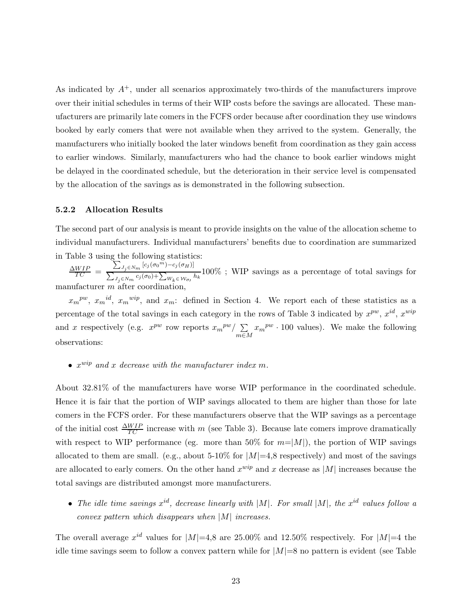As indicated by  $A^+$ , under all scenarios approximately two-thirds of the manufacturers improve over their initial schedules in terms of their WIP costs before the savings are allocated. These manufacturers are primarily late comers in the FCFS order because after coordination they use windows booked by early comers that were not available when they arrived to the system. Generally, the manufacturers who initially booked the later windows benefit from coordination as they gain access to earlier windows. Similarly, manufacturers who had the chance to book earlier windows might be delayed in the coordinated schedule, but the deterioration in their service level is compensated by the allocation of the savings as is demonstrated in the following subsection.

#### **5.2.2 Allocation Results**

The second part of our analysis is meant to provide insights on the value of the allocation scheme to individual manufacturers. Individual manufacturers' benefits due to coordination are summarized in Table 3 using the following statistics:

 $\frac{\Delta WIP}{TC}$  =  $\sum\nolimits_{J_j \in N_m } {\left[ {c_j (\sigma_0^{m}) \!-\! c_j (\sigma_H)} \right]}$  $\sum_{J_j \in N_m}^{J_j \in N_m} c_j(\sigma_0) + \sum_{W_k \in \mathcal{W}_{\sigma}} h_k$  100% ; WIP savings as a percentage of total savings for manufacturer  $m$  after coordin

 $x_m^{pw}$ ,  $x_m^{id}$ ,  $x_m^{wip}$ , and  $x_m$ : defined in Section 4. We report each of these statistics as a percentage of the total savings in each category in the rows of Table 3 indicated by  $x^{pw}$ ,  $x^{id}$ ,  $x^{wip}$ and x respectively (e.g.  $x^{pw}$  row reports  $x_m^{pw}/\sum$ m∈M  $x_m^{pw} \cdot 100$  values). We make the following observations:

• xwip *and* x *decrease with the manufacturer index* m*.*

About 32.81% of the manufacturers have worse WIP performance in the coordinated schedule. Hence it is fair that the portion of WIP savings allocated to them are higher than those for late comers in the FCFS order. For these manufacturers observe that the WIP savings as a percentage of the initial cost  $\frac{\Delta WIP}{TC}$  increase with m (see Table 3). Because late comers improve dramatically with respect to WIP performance (eg. more than 50% for  $m=|M|$ ), the portion of WIP savings allocated to them are small. (e.g., about 5-10% for  $|M|=4,8$  respectively) and most of the savings are allocated to early comers. On the other hand  $x^{wip}$  and x decrease as |M| increases because the total savings are distributed amongst more manufacturers.

• *The idle time savings* xid*, decrease linearly with* |M|*. For small* |M|*, the* xid *values follow a convex pattern which disappears when* |M| *increases.*

The overall average  $x^{id}$  values for  $|M|=4,8$  are 25.00% and 12.50% respectively. For  $|M|=4$  the idle time savings seem to follow a convex pattern while for  $|M|=8$  no pattern is evident (see Table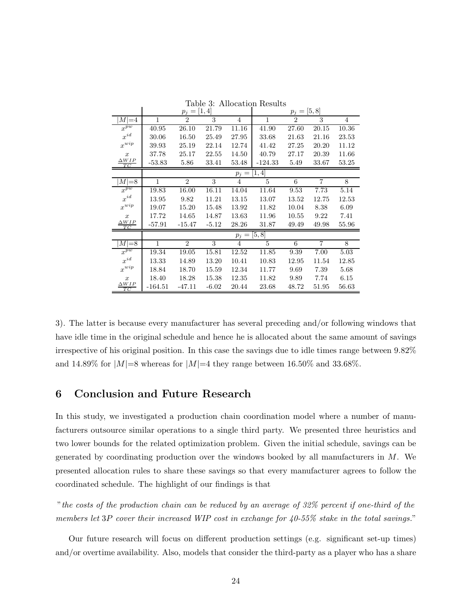|                         | $p_j = [1, 4]$    |                    |         |                | [5, 8]<br>$p_j =$ |                |                |                |  |
|-------------------------|-------------------|--------------------|---------|----------------|-------------------|----------------|----------------|----------------|--|
| $M=4$                   | 1                 | $\overline{2}$     | 3       | $\overline{4}$ | $\mathbf{1}$      | $\overline{2}$ | 3              | $\overline{4}$ |  |
| $\boldsymbol{x}^{pw}$   | 40.95             | 26.10              | 21.79   | 11.16          | 41.90             | 27.60          | 20.15          | 10.36          |  |
| $x^{id}$                | 30.06             | 16.50              | 25.49   | 27.95          | 33.68             | 21.63          | 21.16          | 23.53          |  |
| $\boldsymbol{x}^{wip}$  | 39.93             | 25.19              | 22.14   | 12.74          | 41.42             | 27.25          | 20.20          | 11.12          |  |
| $\boldsymbol{x}$        | 37.78             | 25.17              | 22.55   | 14.50          | 40.79             | 27.17          | 20.39          | 11.66          |  |
| $\frac{\Delta WIP}{TC}$ | $-53.83$          | 5.86               | 33.41   | 53.48          | $-124.33$         | 5.49           | 33.67          | 53.25          |  |
|                         | [1, 4]<br>$p_j =$ |                    |         |                |                   |                |                |                |  |
| $M=8$                   | $\mathbf{1}$      | $\overline{2}$     | 3       | $\overline{4}$ | 5                 | 6              | $\overline{7}$ | 8              |  |
| $x^{\overline{pw}}$     | 19.83             | $\overline{16.00}$ | 16.11   | 14.04          | 11.64             | 9.53           | 7.73           | 5.14           |  |
| $\boldsymbol{x}^{id}$   | 13.95             | 9.82               | 11.21   | 13.15          | 13.07             | 13.52          | 12.75          | 12.53          |  |
| $\boldsymbol{x}^{wip}$  | 19.07             | 15.20              | 15.48   | 13.92          | 11.82             | 10.04          | 8.38           | 6.09           |  |
| $\boldsymbol{x}$        | 17.72             | 14.65              | 14.87   | 13.63          | 11.96             | 10.55          | 9.22           | 7.41           |  |
| $\Delta WIP$<br>TC      | $-57.91$          | $-15.47$           | $-5.12$ | 28.26          | 31.87             | 49.49          | 49.98          | 55.96          |  |
|                         | [5, 8]<br>$p_j =$ |                    |         |                |                   |                |                |                |  |
| $M=8$                   | 1                 | $\overline{2}$     | 3       | $\overline{4}$ | 5                 | 6              | $\overline{7}$ | 8              |  |
| $x^{\overline{pw}}$     | 19.34             | 19.05              | 15.81   | 12.52          | 11.85             | 9.39           | 7.00           | 5.03           |  |
| $\boldsymbol{x}^{id}$   | 13.33             | 14.89              | 13.20   | 10.41          | 10.83             | 12.95          | 11.54          | 12.85          |  |
| $\boldsymbol{x}^{wip}$  | 18.84             | 18.70              | 15.59   | 12.34          | 11.77             | 9.69           | 7.39           | 5.68           |  |
| $\boldsymbol{x}$        | 18.40             | 18.28              | 15.38   | 12.35          | 11.82             | 9.89           | 7.74           | 6.15           |  |
| $\Delta WIP$<br>TС      | $-164.51$         | $-47.11$           | $-6.02$ | 20.44          | 23.68             | 48.72          | 51.95          | 56.63          |  |

Table 3: Allocation Results

3). The latter is because every manufacturer has several preceding and/or following windows that have idle time in the original schedule and hence he is allocated about the same amount of savings irrespective of his original position. In this case the savings due to idle times range between 9.82% and 14.89% for  $|M|=8$  whereas for  $|M|=4$  they range between 16.50% and 33.68%.

# **6 Conclusion and Future Research**

In this study, we investigated a production chain coordination model where a number of manufacturers outsource similar operations to a single third party. We presented three heuristics and two lower bounds for the related optimization problem. Given the initial schedule, savings can be generated by coordinating production over the windows booked by all manufacturers in  $M$ . We presented allocation rules to share these savings so that every manufacturer agrees to follow the coordinated schedule. The highlight of our findings is that

"*the costs of the production chain can be reduced by an average of 32% percent if one-third of the members let* 3P *cover their increased WIP cost in exchange for 40-55% stake in the total savings.*"

Our future research will focus on different production settings (e.g. significant set-up times) and/or overtime availability. Also, models that consider the third-party as a player who has a share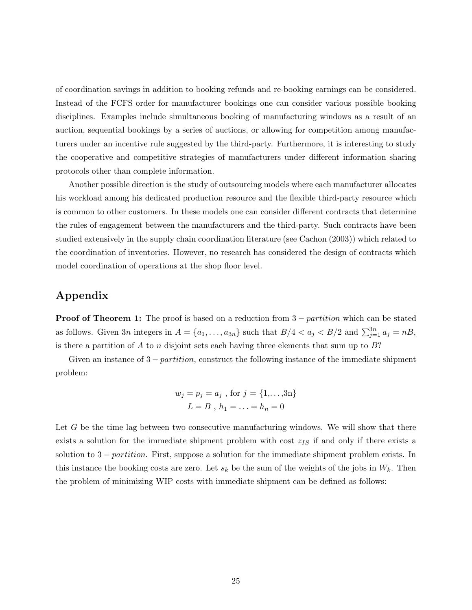of coordination savings in addition to booking refunds and re-booking earnings can be considered. Instead of the FCFS order for manufacturer bookings one can consider various possible booking disciplines. Examples include simultaneous booking of manufacturing windows as a result of an auction, sequential bookings by a series of auctions, or allowing for competition among manufacturers under an incentive rule suggested by the third-party. Furthermore, it is interesting to study the cooperative and competitive strategies of manufacturers under different information sharing protocols other than complete information.

Another possible direction is the study of outsourcing models where each manufacturer allocates his workload among his dedicated production resource and the flexible third-party resource which is common to other customers. In these models one can consider different contracts that determine the rules of engagement between the manufacturers and the third-party. Such contracts have been studied extensively in the supply chain coordination literature (see Cachon (2003)) which related to the coordination of inventories. However, no research has considered the design of contracts which model coordination of operations at the shop floor level.

# **Appendix**

**Proof of Theorem 1:** The proof is based on a reduction from  $3 - partition$  which can be stated as follows. Given  $3n$  integers in  $A = \{a_1, \ldots, a_{3n}\}\$  such that  $B/4 < a_j < B/2$  and  $\sum_{j=1}^{3n} a_j = nB$ , is there a partition of A to n disjoint sets each having three elements that sum up to  $B$ ?

Given an instance of  $3 - partition$ , construct the following instance of the immediate shipment problem:

$$
w_j = p_j = a_j
$$
, for  $j = \{1,...,3n\}$   
 $L = B$ ,  $h_1 = ... = h_n = 0$ 

Let G be the time lag between two consecutive manufacturing windows. We will show that there exists a solution for the immediate shipment problem with cost  $z_{IS}$  if and only if there exists a solution to  $3$  – partition. First, suppose a solution for the immediate shipment problem exists. In this instance the booking costs are zero. Let  $s_k$  be the sum of the weights of the jobs in  $W_k$ . Then the problem of minimizing WIP costs with immediate shipment can be defined as follows: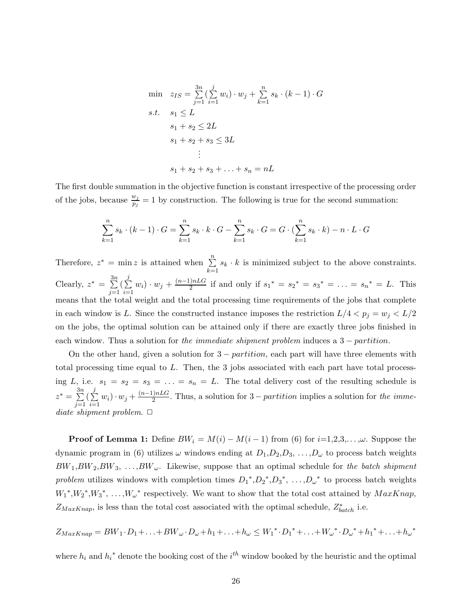min 
$$
z_{IS} = \sum_{j=1}^{3n} (\sum_{i=1}^{j} w_i) \cdot w_j + \sum_{k=1}^{n} s_k \cdot (k-1) \cdot G
$$
  
\ns.t.  $s_1 \leq L$   
\n $s_1 + s_2 \leq 2L$   
\n $s_1 + s_2 + s_3 \leq 3L$   
\n:  
\n $s_1 + s_2 + s_3 + \ldots + s_n = nL$ 

The first double summation in the objective function is constant irrespective of the processing order of the jobs, because  $\frac{w_j}{p_i} = 1$  by construction. The following is true for the second summation:

$$
\sum_{k=1}^{n} s_k \cdot (k-1) \cdot G = \sum_{k=1}^{n} s_k \cdot k \cdot G - \sum_{k=1}^{n} s_k \cdot G = G \cdot (\sum_{k=1}^{n} s_k \cdot k) - n \cdot L \cdot G
$$

Therefore,  $z^* = \min z$  is attained when  $\sum_{n=1}^{\infty}$  $\sum_{k=1}$  $s_k \cdot k$  is minimized subject to the above constraints. Clearly,  $z^* = \sum^{3n}$  $\sum_{j=1}$  $(\sum^j)$  $\sum_{i=1}$  $w_i) \cdot w_j + \frac{(n-1)nLG}{2}$  if and only if  $s_1^* = s_2^* = s_3^* = \ldots = s_n^* = L$ . This means that the total weight and the total processing time requirements of the jobs that complete in each window is L. Since the constructed instance imposes the restriction  $L/4 < p_i = w_i < L/2$ on the jobs, the optimal solution can be attained only if there are exactly three jobs finished in each window. Thus a solution for *the immediate shipment problem* induces a 3 − partition.

On the other hand, given a solution for  $3 - partition$ , each part will have three elements with total processing time equal to L. Then, the 3 jobs associated with each part have total processing L, i.e.  $s_1 = s_2 = s_3 = \ldots = s_n = L$ . The total delivery cost of the resulting schedule is  $z^* = \sum^{3n}$  $\sum_{j=1}$  $(\sum$  $\sum_{i=1}$  $w_i) \cdot w_j + \frac{(n-1)nLG}{2}$ . Thus, a solution for 3 – partition implies a solution for the imme*diate shipment problem.*  $\Box$ 

**Proof of Lemma 1:** Define  $BW_i = M(i) - M(i-1)$  from (6) for  $i=1,2,3,..., \omega$ . Suppose the dynamic program in (6) utilizes  $\omega$  windows ending at  $D_1, D_2, D_3, \ldots, D_{\omega}$  to process batch weights  $BW_1, BW_2, BW_3, \ldots, BW_\omega$ . Likewise, suppose that an optimal schedule for *the batch shipment problem* utilizes windows with completion times  $D_1^*, D_2^*, D_3^*, \ldots, D_{\omega}^*$  to process batch weights  $W_1^*, W_2^*, W_3^*, \ldots, W_{\omega}^*$  respectively. We want to show that the total cost attained by  $MaxKnap$ ,  $Z_{MaxKnap}$ , is less than the total cost associated with the optimal schedule,  $Z_{batch}^{*}$  i.e.

$$
Z_{MaxKnap} = BW_1 \cdot D_1 + \ldots + BW_{\omega} \cdot D_{\omega} + h_1 + \ldots + h_{\omega} \le W_1^* \cdot D_1^* + \ldots + W_{\omega}^* \cdot D_{\omega}^* + h_1^* + \ldots + h_{\omega}^*
$$

where  $h_i$  and  $h_i^*$  denote the booking cost of the  $i^{th}$  window booked by the heuristic and the optimal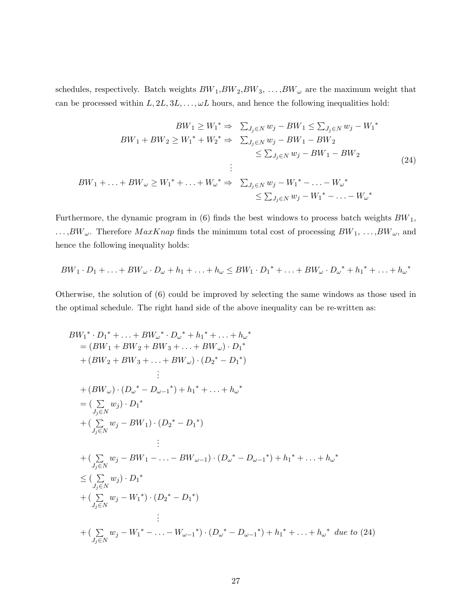schedules, respectively. Batch weights  $BW_1, BW_2, BW_3, \ldots, BW_\omega$  are the maximum weight that can be processed within  $L, 2L, 3L, \ldots, \omega L$  hours, and hence the following inequalities hold:

$$
BW_{1} \geq W_{1}^{*} \Rightarrow \sum_{J_{j} \in N} w_{j} - BW_{1} \leq \sum_{J_{j} \in N} w_{j} - W_{1}^{*}
$$
  
\n
$$
BW_{1} + BW_{2} \geq W_{1}^{*} + W_{2}^{*} \Rightarrow \sum_{J_{j} \in N} w_{j} - BW_{1} - BW_{2}
$$
  
\n
$$
\leq \sum_{J_{j} \in N} w_{j} - BW_{1} - BW_{2}
$$
  
\n:  
\n
$$
BW_{1} + \ldots + BW_{\omega} \geq W_{1}^{*} + \ldots + W_{\omega}^{*} \Rightarrow \sum_{J_{j} \in N} w_{j} - W_{1}^{*} - \ldots - W_{\omega}^{*}
$$
  
\n
$$
\leq \sum_{J_{j} \in N} w_{j} - W_{1}^{*} - \ldots - W_{\omega}^{*}
$$
  
\n
$$
(24)
$$

Furthermore, the dynamic program in  $(6)$  finds the best windows to process batch weights  $BW_1$ ,  $\dots, BW_{\omega}$ . Therefore  $MaxKnap$  finds the minimum total cost of processing  $BW_1, \dots, BW_{\omega}$ , and hence the following inequality holds:

$$
BW_1 \cdot D_1 + \ldots + BW_{\omega} \cdot D_{\omega} + h_1 + \ldots + h_{\omega} \le BW_1 \cdot D_1^* + \ldots + BW_{\omega} \cdot D_{\omega}^* + h_1^* + \ldots + h_{\omega}^*
$$

Otherwise, the solution of (6) could be improved by selecting the same windows as those used in the optimal schedule. The right hand side of the above inequality can be re-written as:

$$
BW_{1}^{*} \cdot D_{1}^{*} + \ldots + BW_{\omega}^{*} \cdot D_{\omega}^{*} + h_{1}^{*} + \ldots + h_{\omega}^{*}
$$
\n
$$
= (BW_{1} + BW_{2} + BW_{3} + \ldots + BW_{\omega}) \cdot D_{1}^{*}
$$
\n
$$
+ (BW_{2} + BW_{3} + \ldots + BW_{\omega}) \cdot (D_{2}^{*} - D_{1}^{*})
$$
\n
$$
\vdots
$$
\n
$$
+ (BW_{\omega}) \cdot (D_{\omega}^{*} - D_{\omega - 1}^{*}) + h_{1}^{*} + \ldots + h_{\omega}^{*}
$$
\n
$$
= (\sum_{j_{j} \in N} w_{j}) \cdot D_{1}^{*}
$$
\n
$$
+ (\sum_{j_{j} \in N} w_{j} - BW_{1}) \cdot (D_{2}^{*} - D_{1}^{*})
$$
\n
$$
\vdots
$$
\n
$$
+ (\sum_{j_{j} \in N} w_{j} - BW_{1} - \ldots - BW_{\omega - 1}) \cdot (D_{\omega}^{*} - D_{\omega - 1}^{*}) + h_{1}^{*} + \ldots + h_{\omega}^{*}
$$
\n
$$
\leq (\sum_{j_{j} \in N} w_{j}) \cdot D_{1}^{*}
$$
\n
$$
+ (\sum_{j_{j} \in N} w_{j} - W_{1}^{*}) \cdot (D_{2}^{*} - D_{1}^{*})
$$
\n
$$
\vdots
$$
\n
$$
+ (\sum_{j_{j} \in N} w_{j} - W_{1}^{*} - \ldots - W_{\omega - 1}^{*}) \cdot (D_{\omega}^{*} - D_{\omega - 1}^{*}) + h_{1}^{*} + \ldots + h_{\omega}^{*} \text{ due to (24)}
$$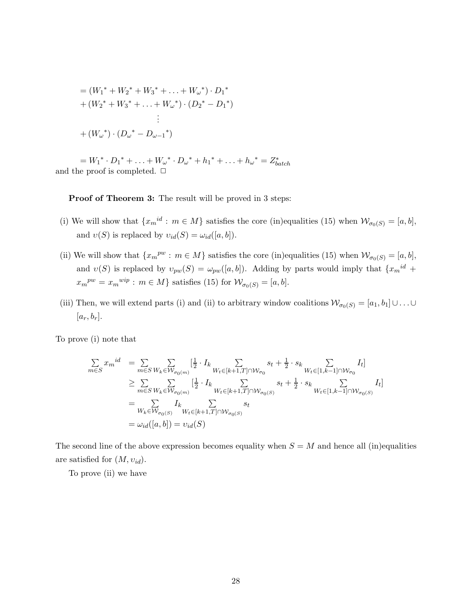$$
= (W_1^* + W_2^* + W_3^* + \dots + W_\omega^*) \cdot D_1^*
$$
  
+  $(W_2^* + W_3^* + \dots + W_\omega^*) \cdot (D_2^* - D_1^*)$   
 $\vdots$   
+  $(W_\omega^*) \cdot (D_\omega^* - D_{\omega - 1}^*)$ 

 $= W_1^* \cdot D_1^* + \ldots + W_{\omega}^* \cdot D_{\omega}^* + h_1^* + \ldots + h_{\omega}^* = Z_{batch}^*$ and the proof is completed.  $\Box$ 

**Proof of Theorem 3:** The result will be proved in 3 steps:

- (i) We will show that  $\{x_m^{id}: m \in M\}$  satisfies the core (in)equalities (15) when  $\mathcal{W}_{\sigma_0(S)} = [a, b],$ and  $v(S)$  is replaced by  $v_{id}(S) = \omega_{id}([a, b]).$
- (ii) We will show that  $\{x_m^{pw} : m \in M\}$  satisfies the core (in)equalities (15) when  $\mathcal{W}_{\sigma_0(S)} = [a, b],$ and  $v(S)$  is replaced by  $v_{pw}(S) = \omega_{pw}([a, b])$ . Adding by parts would imply that  $\{x_m^{id}$  +  $x_m^{pw} = x_m^{wip} : m \in M$  satisfies (15) for  $\mathcal{W}_{\sigma_0(S)} = [a, b]$ .
- (iii) Then, we will extend parts (i) and (ii) to arbitrary window coalitions  $\mathcal{W}_{\sigma_0(S)} = [a_1, b_1] \cup \ldots \cup$  $[a_r, b_r].$

To prove (i) note that

$$
\sum_{m \in S} x_m^{id} = \sum_{m \in S} \sum_{W_k \in W_{\sigma_0(m)}} \left[ \frac{1}{2} \cdot I_k \sum_{W_t \in [k+1, T] \cap W_{\sigma_0}} s_t + \frac{1}{2} \cdot s_k \sum_{W_t \in [1, k-1] \cap W_{\sigma_0}} I_t \right]
$$
\n
$$
\geq \sum_{m \in S} \sum_{W_k \in W_{\sigma_0(m)}} \left[ \frac{1}{2} \cdot I_k \sum_{W_t \in [k+1, T] \cap W_{\sigma_0(S)}} s_t + \frac{1}{2} \cdot s_k \sum_{W_t \in [1, k-1] \cap W_{\sigma_0(S)}} I_t \right]
$$
\n
$$
= \sum_{W_k \in W_{\sigma_0(S)}} I_k \sum_{W_t \in [k+1, T] \cap W_{\sigma_0(S)}} s_t
$$
\n
$$
= \omega_{id}([a, b]) = \upsilon_{id}(S)
$$

The second line of the above expression becomes equality when  $S = M$  and hence all (in)equalities are satisfied for  $(M, v_{id})$ .

To prove (ii) we have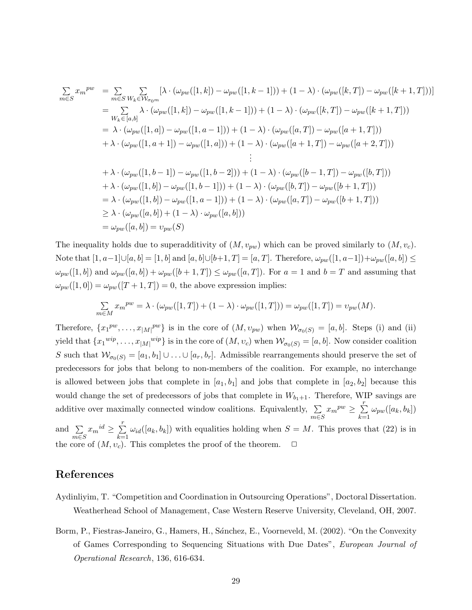$$
\sum_{m \in S} x_m^{pw} = \sum_{m \in S} \sum_{W_k \in W_{\sigma_{0m}}} [\lambda \cdot (\omega_{pw}([1, k]) - \omega_{pw}([1, k-1])) + (1 - \lambda) \cdot (\omega_{pw}([k, T]) - \omega_{pw}([k+1, T]))]
$$
\n
$$
= \sum_{W_k \in [a, b]} \lambda \cdot (\omega_{pw}([1, k]) - \omega_{pw}([1, k-1])) + (1 - \lambda) \cdot (\omega_{pw}([k, T]) - \omega_{pw}([k+1, T]))
$$
\n
$$
= \lambda \cdot (\omega_{pw}([1, a]) - \omega_{pw}([1, a-1])) + (1 - \lambda) \cdot (\omega_{pw}([a, T]) - \omega_{pw}([a+1, T]))
$$
\n
$$
+ \lambda \cdot (\omega_{pw}([1, a+1]) - \omega_{pw}([1, a])) + (1 - \lambda) \cdot (\omega_{pw}([a+1, T]) - \omega_{pw}([a+2, T]))
$$
\n
$$
\vdots
$$
\n
$$
+ \lambda \cdot (\omega_{pw}([1, b-1]) - \omega_{pw}([1, b-2])) + (1 - \lambda) \cdot (\omega_{pw}([b-1, T]) - \omega_{pw}([b, T]))
$$
\n
$$
+ \lambda \cdot (\omega_{pw}([1, b]) - \omega_{pw}([1, b-1])) + (1 - \lambda) \cdot (\omega_{pw}([b, T]) - \omega_{pw}([b+1, T]))
$$
\n
$$
= \lambda \cdot (\omega_{pw}([1, b]) - \omega_{pw}([1, a-1])) + (1 - \lambda) \cdot (\omega_{pw}([a, T]) - \omega_{pw}([b+1, T]))
$$
\n
$$
\geq \lambda \cdot (\omega_{pw}([a, b]) + (1 - \lambda) \cdot \omega_{pw}([a, b]))
$$

The inequality holds due to superadditivity of  $(M, v_{pw})$  which can be proved similarly to  $(M, v_c)$ . Note that  $[1, a-1] \cup [a, b] = [1, b]$  and  $[a, b] \cup [b+1, T] = [a, T]$ . Therefore,  $\omega_{pw}([1, a-1]) + \omega_{pw}([a, b])$  ≤  $\omega_{pw}([1,b])$  and  $\omega_{pw}([a,b]) + \omega_{pw}([b+1,T]) \leq \omega_{pw}([a,T])$ . For  $a=1$  and  $b=T$  and assuming that  $\omega_{pw}([1,0]) = \omega_{pw}([T+1,T]) = 0$ , the above expression implies:

$$
\sum_{m \in M} x_m^{pw} = \lambda \cdot (\omega_{pw}([1,T]) + (1-\lambda) \cdot \omega_{pw}([1,T])) = \omega_{pw}([1,T]) = \upsilon_{pw}(M).
$$

Therefore,  $\{x_1^{pw}, \ldots, x_{|M|}^{pw}\}\$ is in the core of  $(M, v_{pw})$  when  $\mathcal{W}_{\sigma_0(S)} = [a, b]$ . Steps (i) and (ii) yield that  ${x_1}^{wip}, \ldots, {x_{|M|}}^{wip}$  is in the core of  $(M, v_c)$  when  $\mathcal{W}_{\sigma_0(S)} = [a, b]$ . Now consider coalition S such that  $W_{\sigma_0(S)} = [a_1, b_1] \cup ... \cup [a_r, b_r]$ . Admissible rearrangements should preserve the set of predecessors for jobs that belong to non-members of the coalition. For example, no interchange is allowed between jobs that complete in  $[a_1, b_1]$  and jobs that complete in  $[a_2, b_2]$  because this would change the set of predecessors of jobs that complete in  $W_{b_1+1}$ . Therefore, WIP savings are additive over maximally connected window coalitions. Equivalently,  $\Sigma$  $m\overline{\epsilon}S$  $x_m^{pw} \geq \sum_{i=1}^{r}$  $\sum_{k=1}$  $\omega_{pw}([a_k,b_k])$ and  $\Sigma$  $m\epsilon s$  $x_m{}^{id} \geq \sum$ r  $\sum_{k=1}$  $\omega_{id}([a_k, b_k])$  with equalities holding when  $S = M$ . This proves that (22) is in the core of  $(M, v_c)$ . This completes the proof of the theorem.  $\Box$ 

# **References**

- Aydinliyim, T. "Competition and Coordination in Outsourcing Operations", Doctoral Dissertation. Weatherhead School of Management, Case Western Reserve University, Cleveland, OH, 2007.
- Borm, P., Fiestras-Janeiro, G., Hamers, H., Sánchez, E., Voorneveld, M. (2002). "On the Convexity of Games Corresponding to Sequencing Situations with Due Dates", *European Journal of Operational Research*, 136, 616-634.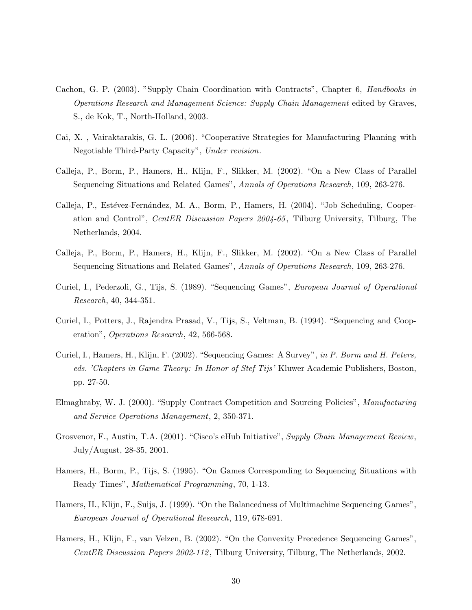- Cachon, G. P. (2003). "Supply Chain Coordination with Contracts", Chapter 6, *Handbooks in Operations Research and Management Science: Supply Chain Management* edited by Graves, S., de Kok, T., North-Holland, 2003.
- Cai, X. , Vairaktarakis, G. L. (2006). "Cooperative Strategies for Manufacturing Planning with Negotiable Third-Party Capacity", *Under revision*.
- Calleja, P., Borm, P., Hamers, H., Klijn, F., Slikker, M. (2002). "On a New Class of Parallel Sequencing Situations and Related Games", *Annals of Operations Research*, 109, 263-276.
- Calleja, P., Estévez-Fernández, M. A., Borm, P., Hamers, H. (2004). "Job Scheduling, Cooperation and Control", *CentER Discussion Papers 2004-65*, Tilburg University, Tilburg, The Netherlands, 2004.
- Calleja, P., Borm, P., Hamers, H., Klijn, F., Slikker, M. (2002). "On a New Class of Parallel Sequencing Situations and Related Games", *Annals of Operations Research*, 109, 263-276.
- Curiel, I., Pederzoli, G., Tijs, S. (1989). "Sequencing Games", *European Journal of Operational Research*, 40, 344-351.
- Curiel, I., Potters, J., Rajendra Prasad, V., Tijs, S., Veltman, B. (1994). "Sequencing and Cooperation", *Operations Research*, 42, 566-568.
- Curiel, I., Hamers, H., Klijn, F. (2002). "Sequencing Games: A Survey", *in P. Borm and H. Peters, eds. 'Chapters in Game Theory: In Honor of Stef Tijs'* Kluwer Academic Publishers, Boston, pp. 27-50.
- Elmaghraby, W. J. (2000). "Supply Contract Competition and Sourcing Policies", *Manufacturing and Service Operations Management*, 2, 350-371.
- Grosvenor, F., Austin, T.A. (2001). "Cisco's eHub Initiative", *Supply Chain Management Review*, July/August, 28-35, 2001.
- Hamers, H., Borm, P., Tijs, S. (1995). "On Games Corresponding to Sequencing Situations with Ready Times", *Mathematical Programming*, 70, 1-13.
- Hamers, H., Klijn, F., Suijs, J. (1999). "On the Balancedness of Multimachine Sequencing Games", *European Journal of Operational Research*, 119, 678-691.
- Hamers, H., Klijn, F., van Velzen, B. (2002). "On the Convexity Precedence Sequencing Games", *CentER Discussion Papers 2002-112*, Tilburg University, Tilburg, The Netherlands, 2002.